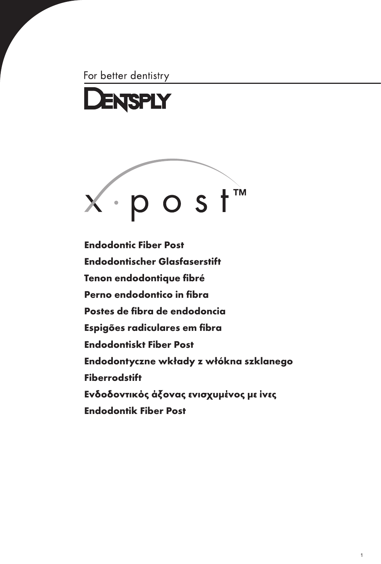For better dentistry





[Endodontic Fiber Post](#page-2-0)  [Endodontischer Glasfaserstift](#page-4-0)  [Tenon endodontique fibré](#page-6-0) [Perno endodontico in fibra](#page-8-0)  [Postes de fibra de endodoncia](#page-10-0) [Espigões radiculares em fibra](#page-12-0) [Endodontiskt Fiber Post](#page-14-0) [Endodontyczne wkłady z włókna szklanego](#page-16-0) [Fiberrodstift](#page-18-0) [Ενδοδοντικός άξονας ενισχυμένος με ίνες](#page-20-0) [Endodontik Fiber Post](#page-22-0)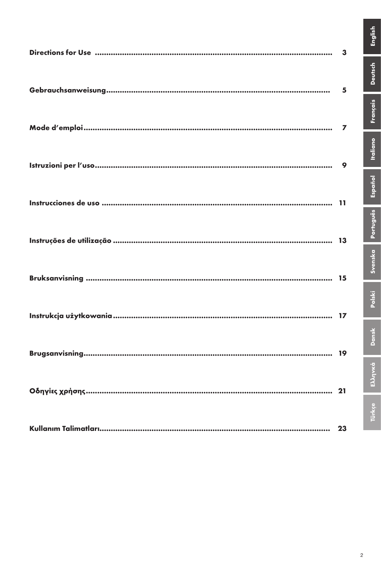| 3 |
|---|
| 5 |
| 7 |
| 9 |
|   |
|   |
|   |
|   |
|   |
|   |
|   |

English

**Deutsch** 

Français

**Italiano** 

Svenska Português Español

Polski

Dansk

Ελληνκά

Türkçe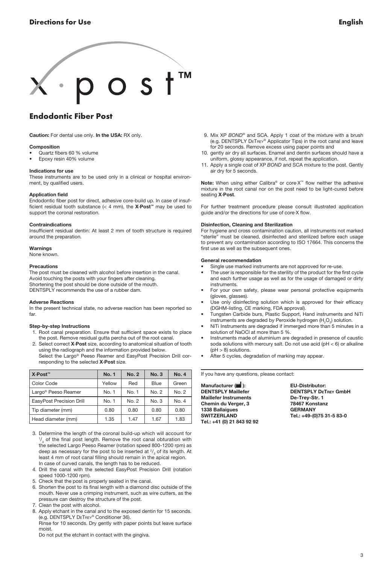<span id="page-2-0"></span>

## Endodontic Fiber Post

Caution: For dental use only. In the USA: RX only.

#### Composition

- Quartz fibers 60 % volume
- Epoxy resin 40% volume

#### Indications for use

These instruments are to be used only in a clinical or hospital environment, by qualified users.

#### Application field

Endodontic fiber post for direct, adhesive core-build up. In case of insufficient residual tooth substance (< 4 mm), the  $X\text{-Post}^m$  may be used to support the coronal restoration.

#### Contraindications

Insufficient residual dentin: At least 2 mm of tooth structure is required around the preparation.

#### **Warnings**

None known.

#### Precautions

The post must be cleaned with alcohol before insertion in the canal. Avoid touching the posts with your fingers after cleaning. Shortening the post should be done outside of the mouth. DENTSPLY recommends the use of a rubber dam.

#### Adverse Reactions

In the present technical state, no adverse reaction has been reported so far.

#### Step-by-step Instructions

- 1. Root canal preparation. Ensure that sufficient space exists to place the post. Remove residual gutta percha out of the root canal.
- 2. Select correct X·Post size, according to anatomical situation of tooth using the radiograph and the information provided below.
	- Select the Largo® Peeso Reamer and EasyPost Precision Drill corresponding to the selected X-Post size.

| X⋅Post™                         | <b>No. 1</b> | <b>No. 2</b> | No.3  | <b>No. 4</b> |
|---------------------------------|--------------|--------------|-------|--------------|
| Color Code                      | Yellow       | Red          | Blue  | Green        |
| Largo <sup>®</sup> Peeso Reamer | No. 1        | No. 1        | No. 2 | No. 2        |
| EasyPost Precision Drill        | No. 1        | No. 2        | No. 3 | No. 4        |
| Tip diameter (mm)               | 0.80         | 0.80         | 0.80  | 0.80         |
| Head diameter (mm)              | 1.35         | 1.47         | 1.67  | 1.83         |

- 3. Determine the length of the coronal build-up which will account for  $\frac{1}{3}$  of the final post length. Remove the root canal obturation with the selected Largo Peeso Reamer (rotation speed 800-1200 rpm) as deep as necessary for the post to be inserted at  $\frac{2}{3}$  of its length. At least 4 mm of root canal filling should remain in the apical region. In case of curved canals, the length has to be reduced.
- 4. Drill the canal with the selected EasyPost Precision Drill (rotation speed 1000-1200 rpm).
- 5. Check that the post is properly seated in the canal.
- 6. Shorten the post to its final length with a diamond disc outside of the mouth. Never use a crimping instrument, such as wire cutters, as the pressure can destroy the structure of the post.
- 7. Clean the post with alcohol.
- 8. Apply etchant in the canal and to the exposed dentin for 15 seconds. (e.g. Dentsply DeTrey® Conditioner 36). Rinse for 10 seconds. Dry gently with paper points but leave surface moist.

Do not put the etchant in contact with the gingiva.

- 9. Mix XP *Bond®* and SCA. Apply 1 coat of the mixture with a brush (e.g. Dentsply DeTrey® Applicator Tips) in the root canal and leave for 20 seconds. Remove excess using paper points and
- 10. gently air dry all surfaces. Enamel and dentin surfaces should have a uniform, glossy appearance, if not, repeat the application.
- 11. Apply a single coat of XP *Bond* and SCA mixture to the post. Gently air dry for 5 seconds.

Note: When using either Calibra® or core $\cdot$ X<sup>™</sup> flow neither the adhesive mixture in the root canal nor on the post need to be light-cured before seating X·Post.

For further treatment procedure please consult illustrated application guide and/or the directions for use of core·X flow.

#### Disinfection, Cleaning and Sterilization

For hygiene and cross contamination caution, all instruments not marked "sterile" must be cleaned, disinfected and sterilized before each usage to prevent any contamination according to ISO 17664. This concerns the first use as well as the subsequent ones.

#### General recommendation

- Single use marked instruments are not approved for re-use.
- The user is responsible for the sterility of the product for the first cycle and each further usage as well as for the usage of damaged or dirty instruments.
- For your own safety, please wear personal protective equipments (gloves, glasses).
- Use only disinfecting solution which is approved for their efficacy (DGHM-listing, CE marking, FDA approval).
- Tungsten Carbide burs, Plastic Support, Hand instruments and NiTi instruments are degraded by Peroxide hydrogen  $(H_2O_2)$  solution.
- NiTi Instruments are degraded if immerged more than 5 minutes in a solution of NaOCl at more than 5 %.
- Instruments made of aluminium are degraded in presence of caustic soda solutions with mercury salt. Do not use acid ( $pH < 6$ ) or alkaline  $(pH > 8)$  solutions.
- After 5 cycles, degradation of marking may appear.

If you have any questions, please contact:

Manufacturer ( ): EU-Distributor: Maillefer Instruments De-Trey-Str. 1 Chemin du Verger, 3 78467 Konstanz 1338 Ballaigues<br>SWITZERLAND Tel.: +41 (0) 21 843 92 92

DENTSPLY DETREY GmbH Tel.: +49-(0)75 31-5 83-0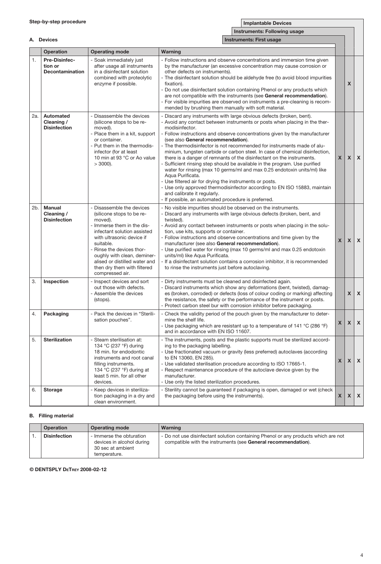|     | A. Devices                                         |                                                                                                                                                                                                                                                                                                                     | <b>Instruments: First usage</b>                                                                                                                                                                                                                                                                                                                                                                                                                                                                                                                                                                                                                                                                                                                                                                                                                                                                                                       |              |              |                           |
|-----|----------------------------------------------------|---------------------------------------------------------------------------------------------------------------------------------------------------------------------------------------------------------------------------------------------------------------------------------------------------------------------|---------------------------------------------------------------------------------------------------------------------------------------------------------------------------------------------------------------------------------------------------------------------------------------------------------------------------------------------------------------------------------------------------------------------------------------------------------------------------------------------------------------------------------------------------------------------------------------------------------------------------------------------------------------------------------------------------------------------------------------------------------------------------------------------------------------------------------------------------------------------------------------------------------------------------------------|--------------|--------------|---------------------------|
|     | Operation                                          | <b>Operating mode</b>                                                                                                                                                                                                                                                                                               | Warning                                                                                                                                                                                                                                                                                                                                                                                                                                                                                                                                                                                                                                                                                                                                                                                                                                                                                                                               |              |              |                           |
| 1.  | Pre-Disinfec-<br>tion or<br><b>Decontamination</b> | Soak immediately just<br>after usage all instruments<br>in a disinfectant solution<br>combined with proteolytic<br>enzyme if possible.                                                                                                                                                                              | - Follow instructions and observe concentrations and immersion time given<br>by the manufacturer (an excessive concentration may cause corrosion or<br>other defects on instruments).<br>- The disinfectant solution should be aldehyde free (to avoid blood impurities<br>fixation).<br>- Do not use disinfectant solution containing Phenol or any products which<br>are not compatible with the instruments (see General recommendation).<br>- For visible impurities are observed on instruments a pre-cleaning is recom-<br>mended by brushing them manually with soft material.                                                                                                                                                                                                                                                                                                                                                 |              | X            |                           |
| 2а. | Automated<br>Cleaning /<br><b>Disinfection</b>     | Disassemble the devices<br>(silicone stops to be re-<br>moved).<br>Place them in a kit, support<br>or container.<br>Put them in the thermodis-<br>infector (for at least<br>10 min at 93 °C or Ao value<br>$>$ 3000).                                                                                               | - Discard any instruments with large obvious defects (broken, bent).<br>- Avoid any contact between instruments or posts when placing in the ther-<br>modisinfector.<br>- Follow instructions and observe concentrations given by the manufacturer<br>(see also General recommendation).<br>The thermodisinfector is not recommended for instruments made of alu-<br>minium, tungsten carbide or carbon steel. In case of chemical disinfection,<br>there is a danger of remnants of the disinfectant on the instruments.<br>- Sufficient rinsing step should be available in the program. Use purified<br>water for rinsing (max 10 germs/ml and max 0.25 endotoxin units/ml) like<br>Aqua Purificata.<br>- Use filtered air for drying the instruments or posts.<br>- Use only approved thermodisinfector according to EN ISO 15883, maintain<br>and calibrate it regularly.<br>- If possible, an automated procedure is preferred. | X            | $\mathsf{x}$ | $\boldsymbol{\mathsf{x}}$ |
| 2b. | <b>Manual</b><br>Cleaning /<br><b>Disinfection</b> | - Disassemble the devices<br>(silicone stops to be re-<br>moved).<br>Immerse them in the dis-<br>infectant solution assisted<br>with ultrasonic device if<br>suitable.<br>Rinse the devices thor-<br>oughly with clean, deminer-<br>alised or distilled water and<br>then dry them with filtered<br>compressed air. | - No visible impurities should be observed on the instruments.<br>- Discard any instruments with large obvious defects (broken, bent, and<br>twisted).<br>- Avoid any contact between instruments or posts when placing in the solu-<br>tion, use kits, supports or container.<br>- Follow instructions and observe concentrations and time given by the<br>manufacturer (see also General recommendation).<br>- Use purified water for rinsing (max 10 germs/ml and max 0.25 endotoxin<br>units/ml) like Aqua Purificata.<br>- If a disinfectant solution contains a corrosion inhibitor, it is recommended<br>to rinse the instruments just before autoclaving.                                                                                                                                                                                                                                                                     | $\mathbf{x}$ | X            | X                         |
| 3.  | Inspection                                         | - Inspect devices and sort<br>out those with defects.<br>- Assemble the devices<br>(stops).                                                                                                                                                                                                                         | - Dirty instruments must be cleaned and disinfected again.<br>- Discard instruments which show any deformations (bent, twisted), damag-<br>es (broken, corroded) or defects (loss of colour coding or marking) affecting<br>the resistance, the safety or the performance of the instrument or posts.<br>- Protect carbon steel bur with corrosion inhibitor before packaging.                                                                                                                                                                                                                                                                                                                                                                                                                                                                                                                                                        |              | X            | $\boldsymbol{\mathsf{x}}$ |
| 4.  | Packaging                                          | - Pack the devices in "Sterili-<br>sation pouches".                                                                                                                                                                                                                                                                 | - Check the validity period of the pouch given by the manufacturer to deter-<br>mine the shelf life.<br>- Use packaging which are resistant up to a temperature of 141 °C (286 °F)<br>and in accordance with EN ISO 11607.                                                                                                                                                                                                                                                                                                                                                                                                                                                                                                                                                                                                                                                                                                            | X            | X            | X                         |
| 5.  | <b>Sterilization</b>                               | - Steam sterilisation at:<br>134 °C (237 °F) during<br>18 min. for endodontic<br>instruments and root canal<br>filling instruments.<br>134 °C (237 °F) during at<br>least 5 min. for all other<br>devices.                                                                                                          | - The instruments, posts and the plastic supports must be sterilized accord-<br>ing to the packaging labelling.<br>- Use fractionated vacuum or gravity (less preferred) autoclaves (according<br>to EN 13060, EN 285).<br>- Use validated sterilisation procedure according to ISO 17665-1.<br>- Respect maintenance procedure of the autoclave device given by the<br>manufacturer.<br>- Use only the listed sterilization procedures.                                                                                                                                                                                                                                                                                                                                                                                                                                                                                              | X            | X            | X                         |
| 6.  | <b>Storage</b>                                     | - Keep devices in steriliza-<br>tion packaging in a dry and<br>clean environment.                                                                                                                                                                                                                                   | - Sterility cannot be guaranteed if packaging is open, damaged or wet (check<br>the packaging before using the instruments).                                                                                                                                                                                                                                                                                                                                                                                                                                                                                                                                                                                                                                                                                                                                                                                                          | X            | X            | X                         |

#### B. Filling material

 $\Box$ 

| Operation           | <b>Operating mode</b>                                                                      | Warning                                                                                                                                             |
|---------------------|--------------------------------------------------------------------------------------------|-----------------------------------------------------------------------------------------------------------------------------------------------------|
| <b>Disinfection</b> | - Immerse the obturation<br>devices in alcohol during<br>30 sec at ambient<br>temperature. | - Do not use disinfectant solution containing Phenol or any products which are not<br>compatible with the instruments (see General recommendation). |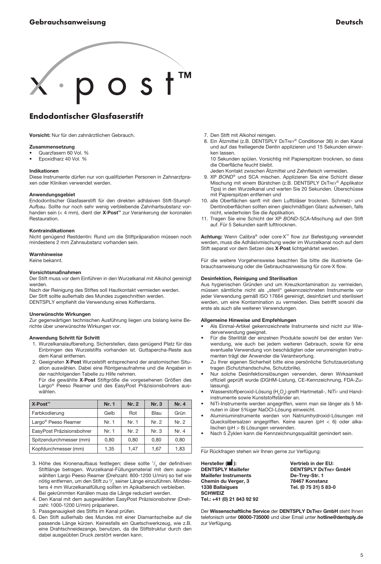<span id="page-4-0"></span>

## Endodontischer Glasfaserstift

Vorsicht: Nur für den zahnärztlichen Gebrauch.

- **Zusammensetzung**<br>• Quarzfasern 60 Vol. %
- Epoxidharz 40 Vol. %

#### Indikationen

Diese Instrumente dürfen nur von qualifizierten Personen in Zahnarztpraxen oder Kliniken verwendet werden.

#### **Anwendungsgebiet**

Endodontischer Glasfaserstift für den direkten adhäsiven Stift-Stumpf-Aufbau. Sollte nur noch sehr wenig verbleibende Zahnhartsubstanz vorhanden sein (< 4 mm), dient der X·Post™ zur Verankerung der koronalen Restauration.

#### Kontraindikationen

Nicht genügend Restdentin: Rund um die Stiftpräparation müssen noch mindestens 2 mm Zahnsubstanz vorhanden sein.

#### Warnhinweise

Keine bekannt.

#### Vorsichtsmaßnahmen

Der Stift muss vor dem Einführen in den Wurzelkanal mit Alkohol gereinigt werden.

Nach der Reinigung des Stiftes soll Hautkontakt vermieden werden. Der Stift sollte außerhalb des Mundes zugeschnitten werden. DENTSPLY empfiehlt die Verwendung eines Kofferdams.

#### Unerwünschte Wirkungen

Zur gegenwärtigen technischen Ausführung liegen uns bislang keine Berichte über unerwünschte Wirkungen vor.

#### Anwendung Schritt für Schritt

- 1. Wurzelkanalaufbereitung. Sicherstellen, dass genügend Platz für das Einbringen des Wurzelstifts vorhanden ist. Guttapercha-Reste aus dem Kanal entfernen.
- 2. Geeigneten X·Post Wurzelstift entsprechend der anatomischen Situation auswählen. Dabei eine Röntgenaufnahme und die Angaben in der nachfolgenden Tabelle zu Hilfe nehmen.

 Für die gewählte X·Post Stiftgröße die vorgesehenen Größen des Largo® Peeso Reamer und des EasyPost Präzisionsbohrers auswählen.

| X-Post™                         | Nr. 1 | Nr. 2 | Nr. 3 | Nr. 4 |
|---------------------------------|-------|-------|-------|-------|
| Farbkodierung                   | Gelb  | Rot   | Blau  | Grün  |
| Largo <sup>®</sup> Peeso Reamer | Nr. 1 | Nr. 1 | Nr. 2 | Nr. 2 |
| EasyPost Präzisionsbohrer       | Nr. 1 | Nr. 2 | Nr. 3 | Nr. 4 |
| Spitzendurchmesser (mm)         | 0.80  | 0.80  | 0.80  | 0.80  |
| Kopfdurchmesser (mm)            | 1.35  | 1,47  | 1.67  | 1,83  |

- 3. Höhe des Kronenaufbaus festlegen; diese sollte  $\frac{1}{3}$  der definitiven Stiftlänge betragen. Wurzelkanal-Füllungsmaterial mit dem ausgewählten Largo Peeso Reamer (Drehzahl: 800-1200 U/min) so tief wie nötig entfernen, um den Stift zu  $\frac{2}{3}$  seiner Länge einzuführen. Mindestens 4 mm Wurzelkanalfüllung sollten im Apikalbereich verbleiben. Bei gekrümmten Kanälen muss die Länge reduziert werden.
- 4. Den Kanal mit dem ausgewählten EasyPost Präzisionsbohrer (Drehzahl: 1000-1200 U/min) präparieren.
- 5. Passgenauigkeit des Stifts im Kanal prüfen.
- 6. Den Stift außerhalb des Mundes mit einer Diamantscheibe auf die passende Länge kürzen. Keinesfalls ein Quetschwerkzeug, wie z.B. eine Drahtschneidezange, benutzen, da die Stiftstruktur durch den dabei ausgeübten Druck zerstört werden kann.
- 7. Den Stift mit Alkohol reinigen.
- 8. Ein Ätzmittel (z.B. DENTSPLY DETREY® Conditioner 36) in den Kanal und auf das freiliegende Dentin applizieren und 15 Sekunden einwirken lassen.

 10 Sekunden spülen. Vorsichtig mit Papierspitzen trocknen, so dass die Oberfläche feucht bleibt.

- Jeden Kontakt zwischen Ätzmittel und Zahnfleisch vermeiden.
- 9. XP *Bond®* und SCA mischen. Applizieren Sie eine Schicht dieser Mischung mit einem Bürstchen (z.B. DENTSPLY DETREY® Applikator Tips) in den Wurzelkanal und warten Sie 20 Sekunden. Überschüsse mit Papierspitzen entfernen und
- 10. alle Oberflächen sanft mit dem Luftbläser trocknen. Schmelz- und Dentinoberflächen sollten einen gleichmäßigen Glanz aufweisen, falls nicht, wiederholen Sie die Applikation.
- 11. Tragen Sie eine Schicht der XP *Bond*-SCA-Mischung auf den Stift auf. Für 5 Sekunden sanft lufttrocknen.

Achtung: Wenn Calibra® oder core·X™ flow zur Befestigung verwendet werden, muss die Adhäsivmischung weder im Wurzelkanal noch auf dem Stift separat vor dem Setzen des X·Post lichtgehärtet werden.

Für die weitere Vorgehensweise beachten Sie bitte die illustrierte Gebrauchsanweisung oder die Gebrauchsanweisung für core·X flow.

#### Desinfektion, Reinigung und Sterilisation

Aus hygienischen Gründen und um Kreuzkontamination zu vermeiden, müssen sämtliche nicht als "steril" gekennzeichneten Instrumente vor jeder Verwendung gemäß ISO 17664 gereinigt, desinfiziert und sterilisiert werden, um eine Kontamination zu vermeiden. Dies betrifft sowohl die erste als auch alle weiteren Verwendungen.

#### Allgemeine Hinweise und Empfehlungen

- Als Einmal-Artikel gekennzeichnete Instrumente sind nicht zur Wiederverwendung geeignet.
- Für die Sterilität der einzelnen Produkte sowohl bei der ersten Verwendung, wie auch bei jedem weiteren Gebrauch, sowie für eine eventuelle Verwendung von beschädigten oder verunreinigten Instrumenten trägt der Anwender die Verantwortung.
- Zu Ihrer eigenen Sicherheit bitte eine persönliche Schutzausrüstung tragen (Schutzhandschuhe, Schutzbrille).
- Nur solche Desinfektionslösungen verwenden, deren Wirksamkeit offiziell geprüft wurde (DGHM-Listung, CE-Kennzeichnung, FDA-Zulassung).
- Wasserstoffperoxid-Lösung  $(H_2O_2)$  greift Hartmetall-, NiTi- und Handinstrumente sowie Kunststoffständer an.
- NiTi-Instrumente werden angegriffen, wenn man sie länger als 5 Minuten in über 5%iger NaOCl-Lösung einweicht.
- Aluminiuminstrumente werden von Natriumhydroxid-Lösungen mit Quecksilbersalzen angegriffen. Keine sauren (pH < 6) oder alkalischen (pH > 8) Lösungen verwenden.
- Nach 5 Zyklen kann die Kennzeichnungsqualität gemindert sein.

Für Rückfragen stehen wir Ihnen gerne zur Verfügung:

Hersteller ( $\blacksquare$ ): Vertrieb in der EU: **DENTSPLY Maillefer Common Service Common DENTSPLY DeTrey GmbH**<br>Maillefer Instruments De-Trey-Str. 1 **Maillefer Instruments** Chemin du Verger, 3 78467 Konstanz<br>1338 Ballaigues 7el. (0 75 31) 5 8 **SCHWEIZ** Tel.: +41 (0) 21 843 92 92

Tel. (0 75 31) 5 83-0

Der Wissenschaftliche Service der DENTSPLY DETREY GmbH steht Ihnen telefonisch unter 08000-735000 und über Email unter hotline@dentsply.de zur Verfügung.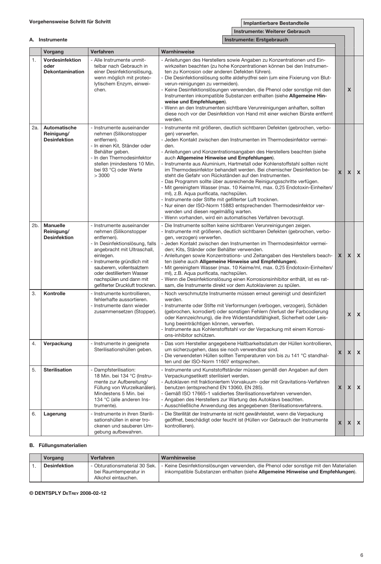|     | Instrumente: Weiterer Gebrauch                    |                                                                                                                                                                                                                                                                                                     |                                                                                                                                                                                                                                                                                                                                                                                                                                                                                                                                                                                                                                                                                                                                                                                                                                                                                                                                                                        |              |              |                           |
|-----|---------------------------------------------------|-----------------------------------------------------------------------------------------------------------------------------------------------------------------------------------------------------------------------------------------------------------------------------------------------------|------------------------------------------------------------------------------------------------------------------------------------------------------------------------------------------------------------------------------------------------------------------------------------------------------------------------------------------------------------------------------------------------------------------------------------------------------------------------------------------------------------------------------------------------------------------------------------------------------------------------------------------------------------------------------------------------------------------------------------------------------------------------------------------------------------------------------------------------------------------------------------------------------------------------------------------------------------------------|--------------|--------------|---------------------------|
|     | A. Instrumente                                    |                                                                                                                                                                                                                                                                                                     | Instrumente: Erstgebrauch                                                                                                                                                                                                                                                                                                                                                                                                                                                                                                                                                                                                                                                                                                                                                                                                                                                                                                                                              |              |              |                           |
|     | Vorgang                                           | Verfahren                                                                                                                                                                                                                                                                                           | Warnhinweise                                                                                                                                                                                                                                                                                                                                                                                                                                                                                                                                                                                                                                                                                                                                                                                                                                                                                                                                                           |              |              |                           |
| 1.  | Vordesinfektion<br>oder<br><b>Dekontamination</b> | - Alle Instrumente unmit-<br>telbar nach Gebrauch in<br>einer Desinfektionslösung,<br>wenn möglich mit proteo-<br>lytischem Enzym, einwei-<br>chen.                                                                                                                                                 | - Anleitungen des Herstellers sowie Angaben zu Konzentrationen und Ein-<br>wirkzeiten beachten (zu hohe Konzentrationen können bei den Instrumen-<br>ten zu Korrosion oder anderen Defekten führen).<br>- Die Desinfektionslösung sollte aldehydfrei sein (um eine Fixierung von Blut-<br>verun-reinigungen zu vermeiden).<br>- Keine Desinfektionslösungen verwenden, die Phenol oder sonstige mit den<br>Instrumenten inkompatible Substanzen enthalten (siehe Allgemeine Hin-<br>weise und Empfehlungen).<br>Wenn an den Instrumenten sichtbare Verunreinigungen anhaften, sollten<br>diese noch vor der Desinfektion von Hand mit einer weichen Bürste entfernt<br>werden.                                                                                                                                                                                                                                                                                         |              | $\mathbf x$  |                           |
| 2а. | Automatische<br>Reinigung/<br><b>Desinfektion</b> | - Instrumente auseinander<br>nehmen (Silikonstopper<br>entfernen).<br>In einen Kit, Ständer oder<br>Behälter geben.<br>In den Thermodesinfektor<br>stellen (mindestens 10 Min.<br>bei 93 °C) oder Werte<br>>3000                                                                                    | - Instrumente mit größeren, deutlich sichtbaren Defekten (gebrochen, verbo-<br>gen) verwerfen.<br>- Jeden Kontakt zwischen den Instrumenten im Thermodesinfektor vermei-<br>den.<br>Anleitungen und Konzentrationsangaben des Herstellers beachten (siehe<br>auch Allgemeine Hinweise und Empfehlungen).<br>Instrumente aus Aluminium, Hartmetall oder Kohlenstoffstahl sollten nicht<br>im Thermodesinfektor behandelt werden. Bei chemischer Desinfektion be-<br>steht die Gefahr von Rückständen auf den Instrumenten.<br>- Das Programm sollte über ausreichende Reinigungsschritte verfügen.<br>- Mit gereinigtem Wasser (max. 10 Keime/ml, max. 0,25 Endotoxin-Einheiten/<br>ml), z.B. Aqua purificata, nachspülen.<br>- Instrumente oder Stifte mit gefilterter Luft trocknen.<br>- Nur einen der ISO-Norm 15883 entsprechenden Thermodesinfektor ver-<br>wenden und diesen regelmäßig warten.<br>- Wenn vorhanden, wird ein automatisches Verfahren bevorzugt. | $\mathbf{x}$ | $\mathsf{x}$ | $\mathbf{x}$              |
| 2b. | Manuelle<br>Reinigung/<br><b>Desinfektion</b>     | - Instrumente auseinander<br>nehmen (Silikonstopper<br>entfernen).<br>In Desinfektionslösung, falls<br>angebracht mit Ultraschall,<br>einlegen.<br>Instrumente gründlich mit<br>sauberem, vollentsalztem<br>oder destilliertem Wasser<br>nachspülen und dann mit<br>gefilterter Druckluft trocknen. | - Die Instrumente sollten keine sichtbaren Verunreinigungen zeigen.<br>- Instrumente mit größeren, deutlich sichtbaren Defekten (gebrochen, verbo-<br>gen, verzogen) verwerfen.<br>Jeden Kontakt zwischen den Instrumenten im Thermodesinfektor vermei-<br>den: Kits. Ständer oder Behälter verwenden.<br>Anleitungen sowie Konzentrations- und Zeitangaben des Herstellers beach-<br>ten (siehe auch Allgemeine Hinweise und Empfehlungen).<br>Mit gereinigtem Wasser (max. 10 Keime/ml, max. 0,25 Endotoxin-Einheiten/<br>ml), z.B. Aqua purificata, nachspülen.<br>Wenn die Desinfektionslösung einen Korrosionsinhibitor enthält, ist es rat-<br>sam, die Instrumente direkt vor dem Autoklavieren zu spülen.                                                                                                                                                                                                                                                      | $\mathsf{x}$ | $\mathsf{x}$ | $\pmb{\chi}$              |
| 3.  | Kontrolle                                         | Instrumente kontrollieren.<br>fehlerhafte aussortieren.<br>Instrumente dann wieder<br>zusammensetzen (Stopper).                                                                                                                                                                                     | - Noch verschmutzte Instrumente müssen erneut gereinigt und desinfiziert<br>werden.<br>- Instrumente oder Stifte mit Verformungen (verbogen, verzogen), Schäden<br>(gebrochen, korrodiert) oder sonstigen Fehlern (Verlust der Farbcodierung<br>oder Kennzeichnung), die ihre Widerstandsfähigkeit, Sicherheit oder Leis-<br>tung beeinträchtigen können, verwerfen.<br>Instrumente aus Kohlenstoffstahl vor der Verpackung mit einem Korrosi-<br>ons-inhibitor schützen.                                                                                                                                                                                                                                                                                                                                                                                                                                                                                              |              | X            | $\mathbf{x}$              |
| 4.  | Verpackung                                        | - Instrumente in geeignete<br>Sterilisationshüllen geben.                                                                                                                                                                                                                                           | Das vom Hersteller angegebene Haltbarkeitsdatum der Hüllen kontrollieren,<br>um sicherzugehen, dass sie noch verwendbar sind.<br>Die verwendeten Hüllen sollten Temperaturen von bis zu 141 °C standhal-<br>ten und der ISO-Norm 11607 entsprechen.                                                                                                                                                                                                                                                                                                                                                                                                                                                                                                                                                                                                                                                                                                                    | $\mathsf{x}$ | X            | $\pmb{\mathsf{x}}$        |
| 5.  | <b>Sterilisation</b>                              | Dampfsterilisation:<br>18 Min. bei 134 °C (Instru-<br>mente zur Aufbereitung/<br>Füllung von Wurzelkanälen).<br>Mindestens 5 Min. bei<br>134 °C (alle anderen Ins-<br>trumente).                                                                                                                    | Instrumente und Kunststoffständer müssen gemäß den Angaben auf dem<br>Verpackungsetikett sterilisiert werden.<br>- Autoklaven mit fraktioniertem Vorvakuum- oder mit Gravitations-Verfahren<br>benutzen (entsprechend EN 13060, EN 285).<br>- Gemäß ISO 17665-1 validiertes Sterilisationsverfahren verwenden.<br>- Angaben des Herstellers zur Wartung des Autoklavs beachten.<br>- Ausschließliche Anwendung des angegebenen Sterilisationsverfahrens.                                                                                                                                                                                                                                                                                                                                                                                                                                                                                                               | $\mathsf{x}$ | $\mathsf{x}$ | $\boldsymbol{\mathsf{x}}$ |
| 6.  | Lagerung                                          | - Instrumente in ihren Sterili-<br>sationshüllen in einer tro-<br>ckenen und sauberen Um-<br>gebung aufbewahren.                                                                                                                                                                                    | - Die Sterilität der Instrumente ist nicht gewährleistet, wenn die Verpackung<br>geöffnet, beschädigt oder feucht ist (Hüllen vor Gebrauch der Instrumente<br>kontrollieren).                                                                                                                                                                                                                                                                                                                                                                                                                                                                                                                                                                                                                                                                                                                                                                                          | X            | $\mathsf{x}$ | $\pmb{\chi}$              |

#### B. Füllungsmaterialien

| Vorgang             | Verfahren                                                                       | Warnhinweise                                                                                                                                                             |
|---------------------|---------------------------------------------------------------------------------|--------------------------------------------------------------------------------------------------------------------------------------------------------------------------|
| <b>Desinfektion</b> | - Obturationsmaterial 30 Sek.  <br>bei Raumtemperatur in<br>Alkohol eintauchen. | - Keine Desinfektionslösungen verwenden, die Phenol oder sonstige mit den Materialien<br>inkompatible Substanzen enthalten (siehe Allgemeine Hinweise und Empfehlungen). |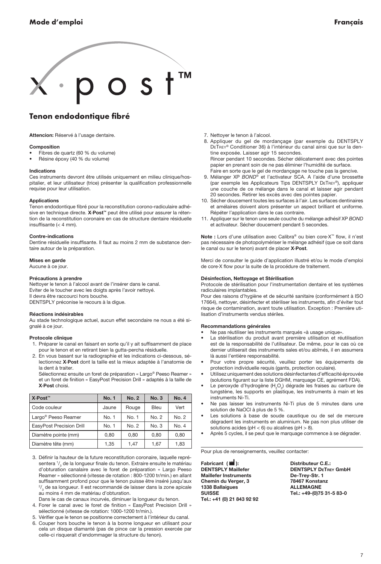<span id="page-6-0"></span>

## Tenon endodontique fibré

Attencion: Réservé à l'usage dentaire.

#### Composition

- Fibres de quartz (60 % du volume)
- Résine époxy (40 % du volume)

#### Indications

Ces instruments devront être utilisés uniquement en milieu clinique/hospitalier, et leur utilisateur (trice) présenter la qualification professionnelle requise pour leur utilisation.

#### Applications

Tenon endodontique fibré pour la reconstitution corono-radiculaire adhésive en technique directe. X·Post™ peut être utilisé pour assurer la rétention de la reconstitution coronaire en cas de structure dentaire résiduelle insuffisante (< 4 mm).

#### Contre-indications

Dentine résiduelle insuffisante. Il faut au moins 2 mm de substance dentaire autour de la préparation.

#### Mises en garde

Aucune à ce jour.

#### Précautions à prendre

Nettoyer le tenon à l'alcool avant de l'insérer dans le canal. Eviter de le toucher avec les doigts après l'avoir nettoyé. Il devra être raccourci hors bouche. DENTSPLY préconise le recours à la digue.

#### Réactions indésirables

Au stade technologique actuel, aucun effet secondaire ne nous a été signalé à ce jour.

#### Protocole clinique

- 1. Préparer le canal en faisant en sorte qu'il y ait suffisamment de place pour le tenon et en retirant bien la gutta-percha résiduelle.
- 2. En vous basant sur la radiographie et les indications ci-dessous, sélectionnez X·Post dont la taille est la mieux adaptée à l'anatomie de la dent à traiter.

 Sélectionnez ensuite un foret de préparation « Largo® Peeso Reamer » et un foret de finition « EasyPost Precision Drill » adaptés à la taille de X·Post choisi.

| X⋅Post <sup>™</sup>             | <b>No. 1</b> | No. 2 | No.3  | <b>No. 4</b> |
|---------------------------------|--------------|-------|-------|--------------|
| Code couleur                    | Jaune        | Rouge | Bleu  | Vert         |
| Largo <sup>®</sup> Peeso Reamer | No. 1        | No. 1 | No. 2 | No. 2        |
| EasyPost Precision Drill        | No. 1        | No. 2 | No. 3 | No. 4        |
| Diamètre pointe (mm)            | 0.80         | 0.80  | 0.80  | 0.80         |
| Diamètre tête (mm)              | 1.35         | 1,47  | 1.67  | 1,83         |

- 3. Définir la hauteur de la future reconstitution coronaire, laquelle représentera 1/<sub>3</sub> de la longueur finale du tenon. Extraire ensuite le matériau d'obturation canalaire avec le foret de préparation « Largo Peeso Reamer » sélectionné (vitesse de rotation : 800-1200 tr/min.) en allant suffisamment profond pour que le tenon puisse être inséré jusqu'aux  $^{2}/_{3}$  de sa longueur. Il est recommandé de laisser dans la zone apicale au moins 4 mm de matériau d'obturation.
- Dans le cas de canaux incurvés, diminuer la longueur du tenon.
- 4. Forer le canal avec le foret de finition « EasyPost Precision Drill » sélectionné (vitesse de rotation: 1000-1200 tr/min.).
- 5. Vérifier que le tenon se positionne correctement à l'intérieur du canal.
- 6. Couper hors bouche le tenon à la bonne longueur en utilisant pour cela un disque diamanté (pas de pince car la pression exercée par celle-ci risquerait d'endommager la structure du tenon).
- 7. Nettoyer le tenon à l'alcool.
- 8. Appliquer du gel de mordançage (par exemple du DENTSPLY DeTrey® Conditioner 36) à l'intérieur du canal ainsi que sur la dentine exposée. Laisser agir 15 secondes. Rincer pendant 10 secondes. Sécher délicatement avec des pointes
- papier en prenant soin de ne pas éliminer l'humidité de surface. Faire en sorte que le gel de mordançage ne touche pas la gencive.
- 9. Mélanger XP *Bond®* et l'activateur SCA. A l'aide d'une brossette (par exemple les Applicateurs Tips Dentsply DeTrey®), appliquer une couche de ce mélange dans le canal et laisser agir pendant 20 secondes. Retirer les excès avec des pointes papier.
- 10. Sécher doucement toutes les surfaces à l'air. Les surfaces dentinaires et amélaires doivent alors présenter un aspect brilliant et uniforme. Répéter l'application dans le cas contraire.
- 11. Appliquer sur le tenon une seule couche du mélange adhésif XP *Bond* et activateur. Sécher doucement pendant 5 secondes.

Note : Lors d'une utilisation avec Calibra® ou bien core·X™ flow, il n'est pas nécessaire de photopolymériser le mélange adhésif (que ce soit dans le canal ou sur le tenon) avant de placer X·Post.

Merci de consulter le guide d'application illustré et/ou le mode d'emploi de core·X flow pour la suite de la procédure de traitement.

#### Désinfection, Nettoyage et Stérilisation

Protocole de stérilisation pour l'instrumentation dentaire et les systèmes radiculaires implantables.

Pour des raisons d'hygiène et de sécurité sanitaire (conformément à ISO 17664), nettoyer, désinfecter et stériliser les instruments, afin d'éviter tout risque de contamination, avant toute utilisation. Exception : Première utilisation d'instruments vendus stériles.

#### Recommandations générales

- Ne pas réutiliser les instruments marqués «à usage unique».
- La stérilisation du produit avant première utilisation et réutilisation est de la responsabilité de l'utilisateur. De même, pour le cas où ce dernier utiliserait des instruments sales et/ou abîmés, il en assumera là aussi l'entière responsabilité.
- Pour votre propre sécurité, veuillez porter les équipements de protection individuelle requis (gants, protection oculaire).
- Utilisez uniquement des solutions désinfectantes d'efficacité éprouvée (solutions figurant sur la liste DGHM, marquage CE, agrément FDA).
- Le peroxyde d'hydrogène  $(H_2O_2)$  dégrade les fraises au carbure de tungstène, les supports en plastique, les instruments à main et les instruments Ni-Ti.
- Ne pas laisser les instruments Ni-Ti plus de 5 minutes dans une solution de NaOCl à plus de 5 %.
- Les solutions à base de soude caustique ou de sel de mercure dégradent les instruments en aluminium. Ne pas non plus utiliser de solutions acides (pH < 6) ou alcalines (pH > 8).
- Après 5 cycles, il se peut que le marquage commence à se dégrader.

Pour plus de renseignements, veuillez contacter:

Fabricant ( $\blacksquare$ ): Distributeur C.E.: **DENTSPLY Maillefer Common CONTSPLY DeTREY GmbH**<br>Maillefer Instruments **De-Trey-Str. 1 Maillefer Instruments** Chemin du Verger, 3 78467 Konstanz 1338 Ballaigues SUISSE Tel.: +49-(0)75 31-5 83-0 Tel.: +41 (0) 21 843 92 92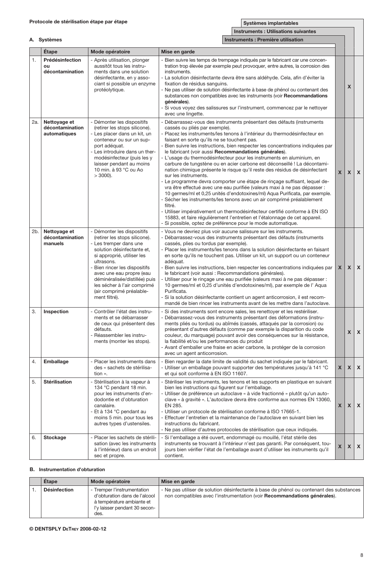Systèmes implantables

|     |                                                 |                                                                                                                                                                                                                                                                                                                                         | <b>Instruments: Utilisations suivantes</b>                                                                                                                                                                                                                                                                                                                                                                                                                                                                                                                                                                                                                                                                                                                                                                                                                                                                                                                                                                                                                                                                                                                                                   |              |                  |                           |
|-----|-------------------------------------------------|-----------------------------------------------------------------------------------------------------------------------------------------------------------------------------------------------------------------------------------------------------------------------------------------------------------------------------------------|----------------------------------------------------------------------------------------------------------------------------------------------------------------------------------------------------------------------------------------------------------------------------------------------------------------------------------------------------------------------------------------------------------------------------------------------------------------------------------------------------------------------------------------------------------------------------------------------------------------------------------------------------------------------------------------------------------------------------------------------------------------------------------------------------------------------------------------------------------------------------------------------------------------------------------------------------------------------------------------------------------------------------------------------------------------------------------------------------------------------------------------------------------------------------------------------|--------------|------------------|---------------------------|
|     | A. Systèmes                                     |                                                                                                                                                                                                                                                                                                                                         | Instruments : Première utilisation                                                                                                                                                                                                                                                                                                                                                                                                                                                                                                                                                                                                                                                                                                                                                                                                                                                                                                                                                                                                                                                                                                                                                           |              |                  |                           |
|     | Étape                                           | Mode opératoire                                                                                                                                                                                                                                                                                                                         | Mise en garde                                                                                                                                                                                                                                                                                                                                                                                                                                                                                                                                                                                                                                                                                                                                                                                                                                                                                                                                                                                                                                                                                                                                                                                |              |                  |                           |
| 1.  | Prédésinfection<br>$\Omega$<br>décontamination  | - Après utilisation, plonger<br>aussitôt tous les instru-<br>ments dans une solution<br>désinfectante, en y asso-<br>ciant si possible un enzyme<br>protéolytique.                                                                                                                                                                      | Bien suivre les temps de trempage indiqués par le fabricant car une concen-<br>tration trop élevée par exemple peut provoquer, entre autres, la corrosion des<br>instruments.<br>- La solution désinfectante devra être sans aldéhyde. Cela, afin d'éviter la<br>fixation de résidus sanguins.<br>- Ne pas utiliser de solution désinfectante à base de phénol ou contenant des<br>substances non compatibles avec les instruments (voir Recommandations<br>générales).<br>- Si vous voyez des salissures sur l'instrument, commencez par le nettoyer<br>avec une lingette.                                                                                                                                                                                                                                                                                                                                                                                                                                                                                                                                                                                                                  |              | $\boldsymbol{x}$ |                           |
| 2a. | Nettoyage et<br>décontamination<br>automatiques | Démonter les dispositifs<br>(retirer les stops silicone).<br>Les placer dans un kit, un<br>conteneur ou sur un sup-<br>port adéquat.<br>Les introduire dans un ther-<br>modésinfecteur (puis les y<br>laisser pendant au moins<br>10 min. à 93 °C ou Ao<br>$>$ 3000).                                                                   | Débarrassez-vous des instruments présentant des défauts (instruments<br>cassés ou pliés par exemple).<br>Placez les instruments/les tenons à l'intérieur du thermodésinfecteur en<br>faisant en sorte qu'ils ne se touchent pas.<br>Bien suivre les instructions, bien respecter les concentrations indiquées par<br>le fabricant (voir aussi Recommandations générales).<br>- L'usage du thermodésinfecteur pour les instruments en aluminium, en<br>carbure de tungstène ou en acier carbone est déconseillé ! La décontami-<br>nation chimique présente le risque qu'il reste des résidus de désinfectant<br>sur les instruments.<br>- Le programme devra comporter une étape de rinçage suffisant, lequel de-<br>vra être effectué avec une eau purifiée (valeurs maxi à ne pas dépasser :<br>10 germes/ml et 0,25 unités d'endotoxines/ml) Aqua Purificata, par exemple.<br>Sécher les instruments/les tenons avec un air comprimé préalablement<br>filtré.<br>- Utiliser impérativement un thermodésinfecteur certifié conforme à EN ISO<br>15883, et faire régulièrement l'entretien et l'étalonnage de cet appareil.<br>- Si possible, optez de préférence pour le mode automatique. | $\mathbf{x}$ | <b>X</b>         | $\mathbf{x}$              |
| 2b. | Nettoyage et<br>décontamination<br>manuels      | - Démonter les dispositifs<br>(retirer les stops silicone).<br>- Les tremper dans une<br>solution désinfectante et,<br>si approprié, utiliser les<br>ultrasons.<br>Bien rincer les dispositifs<br>avec une eau propre (eau<br>déminéralisée/distillée) puis<br>les sécher à l'air comprimé<br>(air comprimé préalable-<br>ment filtré). | - Vous ne devriez plus voir aucune salissure sur les instruments.<br>- Débarrassez-vous des instruments présentant des défauts (instruments<br>cassés, plies ou tordus par exemple).<br>- Placer les instruments/les tenons dans la solution désinfectante en faisant<br>en sorte qu'ils ne touchent pas. Utiliser un kit, un support ou un conteneur<br>adéquat.<br>- Bien suivre les instructions, bien respecter les concentrations indiquées par<br>le fabricant (voir aussi : Recommandations générales).<br>Utiliser pour le rincage une eau purifiée (valeurs maxi à ne pas dépasser :<br>10 germes/ml et 0,25 d'unités d'endotoxines/ml), par exemple de l'Aqua<br>Purificata.<br>- Si la solution désinfectante contient un agent anticorrosion, il est recom-<br>mandé de bien rincer les instruments avant de les mettre dans l'autoclave.                                                                                                                                                                                                                                                                                                                                        | X            | $\mathsf{x}$     | $\pmb{\chi}$              |
| 3.  | Inspection                                      | Contrôler l'état des instru-<br>ments et se débarrasser<br>de ceux qui présentent des<br>défauts.<br>Réassembler les instru-<br>ments (monter les stops).                                                                                                                                                                               | Si des instruments sont encore sales, les renettoyer et les restériliser.<br>- Débarrassez-vous des instruments présentant des déformations (instru-<br>ments pliés ou tordus) ou abîmés (cassés, attaqués par la corrosion) ou<br>présentant d'autres défauts (comme par exemple la disparition du code<br>couleur, du marquage) pouvant avoir des conséquences sur la résistance,<br>la fiabilité et/ou les performances du produit<br>- Avant d'emballer une fraise en acier carbone, la protéger de la corrosion<br>avec un agent anticorrosion.                                                                                                                                                                                                                                                                                                                                                                                                                                                                                                                                                                                                                                         |              | X                | X                         |
| 4.  | Emballage                                       | - Placer les instruments dans<br>des « sachets de stérilisa-<br>tion ».                                                                                                                                                                                                                                                                 | Bien regarder la date limite de validité du sachet indiquée par le fabricant.<br>Utiliser un emballage pouvant supporter des températures jusqu'à 141 °C<br>et qui soit conforme à EN ISO 11607.                                                                                                                                                                                                                                                                                                                                                                                                                                                                                                                                                                                                                                                                                                                                                                                                                                                                                                                                                                                             | $\mathsf{x}$ | $\mathbf x$      | $\pmb{\mathsf{x}}$        |
| 5.  | <b>Stérilisation</b>                            | - Stérilisation à la vapeur à<br>134 °C pendant 18 min.<br>pour les instruments d'en-<br>dodontie et d'obturation<br>canalaire.<br>Et à 134 °C pendant au<br>moins 5 min. pour tous les<br>autres types d'ustensiles.                                                                                                                   | - Stériliser les instruments, les tenons et les supports en plastique en suivant<br>bien les instructions qui figurent sur l'emballage.<br>Utiliser de préférence un autoclave « à vide fractionné » plutôt qu'un auto-<br>clave « à gravité ». L'autoclave devra être conforme aux normes EN 13060,<br>EN 285.<br>- Utiliser un protocole de stérilisation conforme à ISO 17665-1.<br>- Effectuer l'entretien et la maintenance de l'autoclave en suivant bien les<br>instructions du fabricant.<br>Ne pas utiliser d'autres protocoles de stérilisation que ceux indiqués.                                                                                                                                                                                                                                                                                                                                                                                                                                                                                                                                                                                                                 | X            | $\mathsf{x}$     | $\boldsymbol{\mathsf{x}}$ |
| 6.  | Stockage                                        | - Placer les sachets de stérili-<br>sation (avec les instruments<br>à l'intérieur) dans un endroit<br>sec et propre.                                                                                                                                                                                                                    | Si l'emballage a été ouvert, endommagé ou mouillé, l'état stérile des<br>instruments se trouvant à l'intérieur n'est pas garanti. Par conséquent, tou-<br>jours bien vérifier l'état de l'emballage avant d'utiliser les instruments qu'il<br>contient.                                                                                                                                                                                                                                                                                                                                                                                                                                                                                                                                                                                                                                                                                                                                                                                                                                                                                                                                      | X            | $\mathsf{x}$     | X                         |

#### B. Instrumentation d'obturation

| Etape               | Mode opératoire                                                                                                                    | Mise en garde                                                                                                                                                        |
|---------------------|------------------------------------------------------------------------------------------------------------------------------------|----------------------------------------------------------------------------------------------------------------------------------------------------------------------|
| <b>Désinfection</b> | - Tremper l'instrumentation<br>d'obturation dans de l'alcool<br>à température ambiante et<br>I'y laisser pendant 30 secon-<br>des. | - Ne pas utiliser de solution désinfectante à base de phénol ou contenant des substances<br>non compatibles avec l'instrumentation (voir Recommandations générales). |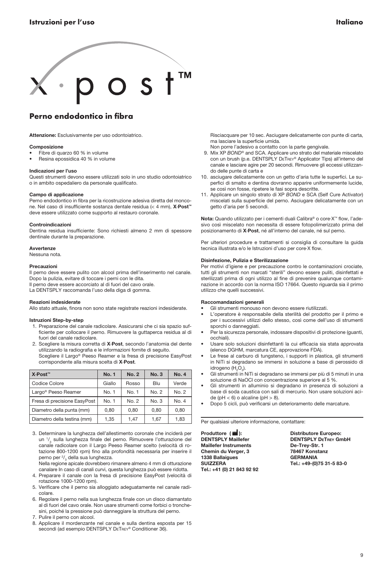# <span id="page-8-0"></span> $\overline{\phantom{a}}$  s tm

## Perno endodontico in fibra

Attenzione: Esclusivamente per uso odontoiatrico.

#### Composizione

- Fibre di quarzo 60 % in volume
- Resina epossidica 40 % in volume

#### Indicazioni per l'uso

Questi strumenti devono essere utilizzati solo in uno studio odontoiatrico o in ambito ospedaliero da personale qualificato.

#### Campo di applicazione

Perno endodontico in fibra per la ricostruzione adesiva diretta del moncone. Nel caso di insufficiente sostanza dentale residua (< 4 mm), X·Post™ deve essere utilizzato come supporto al restauro coronale.

#### Controindicazioni

Dentina residua insufficiente: Sono richiesti almeno 2 mm di spessore dentinale durante la preparazione.

#### Avvertenze

Nessuna nota.

#### Precauzioni

Il perno deve essere pulito con alcool prima dell'inserimento nel canale. Dopo la pulizia, evitare di toccare i perni con le dita.

Il perno deve essere accorciato al di fuori del cavo orale.

La DENTSPLY raccomanda l'uso della diga di gomma.

#### Reazioni indesiderate

Allo stato attuale, finora non sono state registrate reazioni indesiderate.

#### Istruzioni Step-by-step

- 1. Preparazione del canale radicolare. Assicurarsi che ci sia spazio sufficiente per collocare il perno. Rimuovere la guttaperca residua al di fuori del canale radicolare.
- 2. Scegliere la misura corretta di X-Post, secondo l'anatomia del dente utilizzando la radiografia e le informazioni fornite di seguito. Scegliere il Largo® Peeso Reamer e la fresa di precisione EasyPost corrispondente alla misura scelta di X·Post.

| X∙Post <sup>™</sup>             | <b>No. 1</b> | No. 2 | No.3  | <b>No. 4</b> |
|---------------------------------|--------------|-------|-------|--------------|
| Codice Colore                   | Giallo       | Rosso | Blu   | Verde        |
| Largo <sup>®</sup> Peeso Reamer | No. 1        | No. 1 | No. 2 | No. 2        |
| Fresa di precisione EasyPost    | No. 1        | No. 2 | No. 3 | No. 4        |
| Diametro della punta (mm)       | 0.80         | 0.80  | 0.80  | 0.80         |
| Diametro della testina (mm)     | 1.35         | 1,47  | 1.67  | 1,83         |

 3. Determinare la lunghezza dell'allestimento coronale che inciderà per un 1/<sub>3</sub> sulla lunghezza finale del perno. Rimuovere l'otturazione del canale radicolare con il Largo Peeso Reamer scelto (velocità di rotazione 800-1200 rpm) fino alla profondità necessaria per inserire il perno per <sup>2</sup>/<sub>3</sub> della sua lunghezza.

 Nella regione apicale dovrebbero rimanere almeno 4 mm di otturazione canalare In caso di canali curvi, questa lunghezza può essere ridotta.

- 4. Preparare il canale con la fresa di precisione EasyPost (velocità di rotazione 1000-1200 rpm).
- 5. Verificare che il perno sia alloggiato adeguatamente nel canale radicolare.
- 6. Regolare il perno nella sua lunghezza finale con un disco diamantato al di fuori del cavo orale. Non usare strumenti come forbici o tronchesini, poiché la pressione può danneggiare la struttura del perno.
- 7. Pulire il perno con alcool.
- 8. Applicare il mordenzante nel canale e sulla dentina esposta per 15 secondi (ad esempio DENTSPLY DETREY® Conditioner 36).

 Risciacquare per 10 sec. Asciugare delicatamente con punte di carta, ma lasciare la superficie umida.

- Non porre l'adesivo a contatto con la parte gengivale.
- 9. Mix XP *Bond®* and SCA. Applicare uno strato del materiale miscelato con un brush (p.e. DENTSPLY DETREY® Applicator Tips) all'interno del canale e lasciare agire per 20 secondi. Rimuovere gli eccessi utilizzando delle punte di carta e
- 10. asciugare delicatamente con un getto d'aria tutte le superfici. Le superfici di smalto e dentina dovranno apparire uniformemente lucide, se così non fosse, ripetere le fasi sopra descritte.
- 11. Applicare un singolo strato di XP *Bond* e SCA (Self Cure Activator) miscelati sulla superficie del perno. Asciugare delicatamente con un getto d'aria per 5 secondi.

Nota: Quando utilizzato per i cementi duali Calibra® o core·X™ flow, l'adesivo così miscelato non necessita di essere fotopolimerizzato prima del posizionamento di X·Post, né all'interno del canale, né sul perno.

Per ulteriori procedure e trattamenti si consiglia di consultare la guida tecnica illustrata e/o le Istruzioni d'uso per core·X flow.

#### Disinfezione, Pulizia e Sterilizzazione

Per motivi d'igiene e per precauzione contro le contaminazioni crociate, tutti gli strumenti non marcati "sterili" devono essere puliti, disinfettati e sterilizzati prima di ogni utilizzo al fine di prevenire qualunque contaminazione in accordo con la norma ISO 17664. Questo riguarda sia il primo utilizzo che quelli successivi.

#### Raccomandazioni generali

• Gli strumenti monouso non devono essere riutilizzati.

- L'operatore è responsabile della sterilità del prodotto per il primo e per i successivi utilizzi dello stesso, così come dell'uso di strumenti sporchi o danneggiati.
- Per la sicurezza personale, indossare dispositivi di protezione (guanti, occhiali).
- Usare solo soluzioni disinfettanti la cui efficacia sia stata approvata (elenco DGHM, marcatura CE, approvazione FDA).
- Le frese al carburo di tungsteno, i supporti in plastica, gli strumenti in NiTi si degradano se immersi in soluzione a base di perossido di idrogeno ( $H_2O_2$ ).
- Gli strumenti in NiTi si degradano se immersi per più di 5 minuti in una soluzione di NaOCl con concentrazione superiore al 5 %.
- Gli strumenti in alluminio si degradano in presenza di soluzioni a base di soda caustica con sali di mercurio. Non usare soluzioni acide (pH  $<$  6) o alcaline (pH  $>$  8).
- Dopo 5 cicli, può verificarsi un deterioramento delle marcature.

Per qualsiasi ulteriore informazione, contattare:

Produttore ( $\blacksquare$ ): Distributore Europeo:<br>DENTSPLY Maillefer DENTSPLY DETREY GI Maillefer Instruments<br>
Chemin du Verger. 3 78467 Konstanz Chemin du Verger, 3 78467 Konstanz 1338 Ballaigues<br>1338 Ballaigues 65, 1999 1338 Ballaigues Tel.: +41 (0) 21 843 92 92

DENTSPLY DETREY GmbH<br>De-Trey-Str. 1 Suizzera Tel.: +49-(0)75 31-5 83-0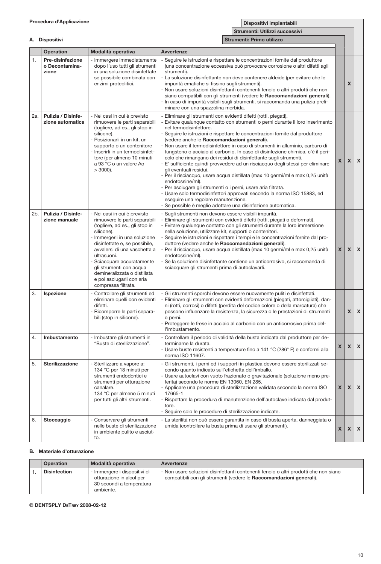|     |                                             |                                                                                                                                                                                                                                                                                                                                                                         | Strumenti: Utilizzi successivi                                                                                                                                                                                                                                                                                                                                                                                                                                                                                                                                                                                                                                                                                                                                                                                                                                                                                                                                                                                 |   |              |                           |
|-----|---------------------------------------------|-------------------------------------------------------------------------------------------------------------------------------------------------------------------------------------------------------------------------------------------------------------------------------------------------------------------------------------------------------------------------|----------------------------------------------------------------------------------------------------------------------------------------------------------------------------------------------------------------------------------------------------------------------------------------------------------------------------------------------------------------------------------------------------------------------------------------------------------------------------------------------------------------------------------------------------------------------------------------------------------------------------------------------------------------------------------------------------------------------------------------------------------------------------------------------------------------------------------------------------------------------------------------------------------------------------------------------------------------------------------------------------------------|---|--------------|---------------------------|
|     | A. Dispositivi                              |                                                                                                                                                                                                                                                                                                                                                                         | Strumenti: Primo utilizzo                                                                                                                                                                                                                                                                                                                                                                                                                                                                                                                                                                                                                                                                                                                                                                                                                                                                                                                                                                                      |   |              |                           |
|     | Operation                                   | Modalità operativa                                                                                                                                                                                                                                                                                                                                                      | <b>Avvertenze</b>                                                                                                                                                                                                                                                                                                                                                                                                                                                                                                                                                                                                                                                                                                                                                                                                                                                                                                                                                                                              |   |              |                           |
| 1.  | Pre-disinfezione<br>o Decontamina-<br>zione | - Immergere immediatamente<br>dopo l'uso tutti gli strumenti<br>in una soluzione disinfettate<br>se possibile combinata con<br>enzimi proteolitici.                                                                                                                                                                                                                     | Seguire le istruzioni e rispettare le concentrazioni fornite dal produttore<br>(una concentrazione eccessiva può provocare corrosione o altri difetti agli<br>strumenti).<br>La soluzione disinfettante non deve contenere aldeide (per evitare che le<br>impurità ematiche si fissino sugli strumenti).<br>Non usare soluzioni disinfettanti contenenti fenolo o altri prodotti che non<br>siano compatibili con gli strumenti (vedere le Raccomandazioni generali).<br>In caso di impurità visibili sugli strumenti, si raccomanda una pulizia preli-<br>minare con una spazzolina morbida.                                                                                                                                                                                                                                                                                                                                                                                                                  |   | X            |                           |
| 2a. | Pulizia / Disinfe-<br>zione automatica      | - Nei casi in cui è previsto<br>rimuovere le parti separabili<br>(togliere, ad es., gli stop in<br>silicone).<br>Posizionarli in un kit, un<br>supporto o un contenitore<br>Inserirli in un termodisinfet-<br>tore (per almeno 10 minuti<br>a 93 °C o un valore Ao<br>$>$ 3000).                                                                                        | - Eliminare gli strumenti con evidenti difetti (rotti, piegati).<br>Evitare qualunque contatto con strumenti o perni durante il loro inserimento<br>nel termodisinfettore.<br>Sequire le istruzioni e rispettare le concentrazioni fornite dal produttore<br>(vedere anche le Raccomandazioni generali).<br>Non usare il termodisinfettore in caso di strumenti in alluminio, carburo di<br>tungsteno o acciaio al carbonio. In caso di disinfezione chimica, c'è il peri-<br>colo che rimangano dei residui di disinfettante sugli strumenti.<br>E' sufficiente quindi provvedere ad un risciacquo degli stessi per eliminare<br>gli eventuali residui.<br>- Per il risciacquo, usare acqua distillata (max 10 germi/ml e max 0,25 unità<br>endotossine/ml).<br>- Per asciugare gli strumenti o i perni, usare aria filtrata.<br>- Usare solo termodisinfettori approvati secondo la norma ISO 15883, ed<br>esequire una regolare manutenzione.<br>Se possible è meglio adottare una disinfezione automatica. | X | $\mathsf{x}$ | X                         |
| 2b. | Pulizia / Disinfe-<br>zione manuale         | - Nei casi in cui è previsto<br>rimuovere le parti separabili<br>(togliere, ad es., gli stop in<br>silicone).<br>Immergerli in una soluzione<br>disinfettate e, se possibile,<br>avvalersi di una vaschetta a<br>ultrasuoni.<br>Sciacquare accuratamente<br>gli strumenti con acqua<br>demineralizzata o distillata<br>e poi asciugarli con aria<br>compressa filtrata. | - Sugli strumenti non devono essere visibili impurità.<br>- Eliminare gli strumenti con evidenti difetti (rotti, piegati o deformati).<br>Evitare qualunque contatto con gli strumenti durante la loro immersione<br>$\overline{a}$<br>nella soluzione, utilizzare kit, supporti o contenitori.<br>Seguire le istruzioni e rispettare i tempi e le concentrazioni fornite dal pro-<br>duttore (vedere anche le Raccomandazioni generali).<br>Per il risciacquo, usare acqua distillata (max 10 germi/ml e max 0,25 unità<br>endotossine/ml).<br>Se la soluzione disinfettante contiene un anticorrosivo, si raccomanda di<br>sciacquare gli strumenti prima di autoclavarli.                                                                                                                                                                                                                                                                                                                                   | X | X            | $\boldsymbol{\mathsf{x}}$ |
| 3.  | Ispezione                                   | Controllare gli strumenti ed<br>eliminare quelli con evidenti<br>difetti.<br>Ricomporre le parti separa-<br>bili (stop in silicone).                                                                                                                                                                                                                                    | Gli strumenti sporchi devono essere nuovamente puliti e disinfettati.<br>Eliminare gli strumenti con evidenti deformazioni (piegati, attorcigliati), dan-<br>ni (rotti, corrosi) o difetti (perdita del codice colore o della marcatura) che<br>possono influenzare la resistenza, la sicurezza o le prestazioni di strumenti<br>o perni.<br>Proteggere le frese in acciaio al carbonio con un anticorrosivo prima del-<br>l'imbustamento.                                                                                                                                                                                                                                                                                                                                                                                                                                                                                                                                                                     |   | X            | $\boldsymbol{\mathsf{x}}$ |
| 4.  | Imbustamento                                | - Imbustare gli strumenti in<br>"Buste di sterilizzazione".                                                                                                                                                                                                                                                                                                             | Controllare il periodo di validità della busta indicata dal produttore per de-<br>terminarne la durata.<br>Usare buste resistenti a temperature fino a 141 °C (286° F) e conformi alla<br>norma ISO 11607.                                                                                                                                                                                                                                                                                                                                                                                                                                                                                                                                                                                                                                                                                                                                                                                                     | X | X            | $\boldsymbol{\mathsf{x}}$ |
| 5.  | Sterilizzazione                             | Sterilizzare a vapore a:<br>134 °C per 18 minuti per<br>strumenti endodontici e<br>strumenti per otturazione<br>canalare.<br>134 °C per almeno 5 minuti<br>per tutti gli altri strumenti.                                                                                                                                                                               | Gli strumenti, i perni ed i supporti in plastica devono essere sterilizzati se-<br>condo quanto indicato sull'etichetta dell'imballo.<br>Usare autoclavi con vuoto frazionato o gravitazionale (soluzione meno pre-<br>ferita) secondo le norme EN 13060, EN 285.<br>Applicare una procedura di sterilizzazione validata secondo la norma ISO<br>17665-1<br>Rispettare la procedura di manutenzione dell'autoclave indicata dal produt-<br>tore.<br>- Seguire solo le procedure di sterilizzazione indicate.                                                                                                                                                                                                                                                                                                                                                                                                                                                                                                   | X | $\mathsf{x}$ | $\boldsymbol{\mathsf{x}}$ |
| 6.  | Stoccaggio                                  | Conservare gli strumenti<br>nelle buste di sterilizzazione<br>in ambiente pulito e asciut-<br>to.                                                                                                                                                                                                                                                                       | - La sterilità non può essere garantita in caso di busta aperta, danneggiata o<br>umida (controllare la busta prima di usare gli strumenti).                                                                                                                                                                                                                                                                                                                                                                                                                                                                                                                                                                                                                                                                                                                                                                                                                                                                   | X | X            | X                         |

### B. Materiale d'otturazione

| <b>Operation</b>    | Modalità operativa                                                                                | Avvertenze                                                                                                                                                  |
|---------------------|---------------------------------------------------------------------------------------------------|-------------------------------------------------------------------------------------------------------------------------------------------------------------|
| <b>Disinfection</b> | - Immergere i dispositivi di<br>otturazione in alcol per<br>30 secondi a temperatura<br>ambiente. | - Non usare soluzioni disinfettanti contenenti fenolo o altri prodotti che non siano<br>compatibili con gli strumenti (vedere le Raccomandazioni generali). |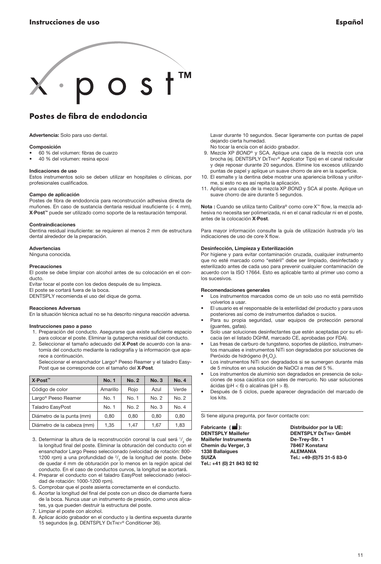<span id="page-10-0"></span>

## Postes de fibra de endodoncia

Advertencia: Solo para uso dental.

#### Composición

- 60 % del volumen: fibras de cuarzo
- 40 % del volumen: resina epoxi

#### Indicaciones de uso

Estos instrumentos solo se deben utilizar en hospitales o clínicas, por profesionales cualificados.

#### Campo de aplicación

Postes de fibra de endodoncia para reconstrucción adhesiva directa de muñones. En caso de sustancia dentaria residual insuficiente (< 4 mm), X·Post™ puede ser utilizado como soporte de la restauración temporal.

#### Contraindicaciones

Dentina residual insuficiente: se requieren al menos 2 mm de estructura dental alrededor de la preparación.

#### Advertencias

Ninguna conocida.

#### Precauciones

El poste se debe limpiar con alcohol antes de su colocación en el conducto.

Evitar tocar el poste con los dedos después de su limpieza.

El poste se cortará fuera de la boca.

DENTSPLY recomienda el uso del dique de goma.

#### Reacciones Adversas

En la situación técnica actual no se ha descrito ninguna reacción adversa.

#### Instrucciones paso a paso

- 1. Preparación del conducto. Asegurarse que existe suficiente espacio para colocar el poste. Eliminar la gutapercha residual del conducto.
- 2. Seleccionar el tamaño adecuado del X·Post de acuerdo con la anatomía del conducto mediante la radiografía y la información que aparece a continuación.

 Seleccionar el ensanchador Largo® Peeso Reamer y el taladro Easy-Post que se corresponde con el tamaño del X·Post.

| X∙Post <sup>™</sup>             | <b>No. 1</b> | No. 2 | No.3  | <b>No. 4</b> |
|---------------------------------|--------------|-------|-------|--------------|
| Código de color                 | Amarillo     | Rojo  | Azul  | Verde        |
| Largo <sup>®</sup> Peeso Reamer | No. 1        | No. 1 | No. 2 | No. 2        |
| <b>Taladro EasyPost</b>         | No. 1        | No. 2 | No. 3 | No. 4        |
| Diámetro de la punta (mm)       | 0.80         | 0.80  | 0.80  | 0.80         |
| Diámetro de la cabeza (mm)      | 1.35         | 1,47  | 1.67  | 1,83         |

- 3. Determinar la altura de la reconstrucción coronal la cual será  $\frac{1}{3}$  de la longitud final del poste. Eliminar la obturación del conducto con el ensanchador Largo Peeso seleccionado (velocidad de rotación: 800- 1200 rpm) a una profundidad de  $\frac{2}{3}$  de la longitud del poste. Debe de quedar 4 mm de obturación por lo menos en la región apical del conducto. En el caso de conductos curvos, la longitud se acortará.
- 4. Preparar el conducto con el taladro EasyPost seleccionado (velocidad de rotación: 1000-1200 rpm).
- 5. Comprobar que el poste asienta correctamente en el conducto.
- 6. Acortar la longitud del final del poste con un disco de diamante fuera de la boca. Nunca usar un instrumento de presión, como unos alicates, ya que pueden destruir la estructura del poste.
- 7. Limpiar el poste con alcohol.
- 8. Aplicar ácido grabador en el conducto y la dentina expuesta durante 15 segundos (e.g. Dentsply DeTrey® Conditioner 36).

 Lavar durante 10 segundos. Secar ligeramente con puntas de papel dejando cierta humedad.

- No tocar la encía con el ácido grabador.
- 9. Mezcle XP *Bond*® y SCA. Aplique una capa de la mezcla con una brocha (ej. DENTSPLY DETREY® Applicator Tips) en el canal radicular y deje reposar durante 20 segundos. Elimine los excesos utilizando puntas de papel y aplique un suave chorro de aire en la superficie.
- 10. El esmalte y la dentina debe mostrar una apariencia brillosa y uniforme, si esto no es así repita la aplicación.
- 11. Aplique una capa de la mezcla XP *Bond* y SCA al poste. Aplique un suave chorro de aire durante 5 segundos.

Nota : Cuando se utiliza tanto Calibra® como core·X™ flow, la mezcla adhesiva no necesita ser polimerizada, ni en el canal radicular ni en el poste, antes de la colocación X·Post.

Para mayor información consulte la guía de utilización ilustrada y/o las indicaciones de uso de core·X flow.

#### Desinfección, Limpieza y Esterilización

Por higiene y para evitar contaminación cruzada, cualquier instrumento que no esté marcado como "estéril" debe ser limpiado, desinfectado y esterilizado antes de cada uso para prevenir cualquier contaminación de acuerdo con la ISO 17664. Esto es aplicable tanto al primer uso como a los sucesivos.

#### Recomendaciones generales

- Los instrumentos marcados como de un solo uso no está permitido volverlos a usar.
- El usuario es el responsable de la esterilidad del producto y para usos posteriores así como de instrumentos dañados o sucios.
- Para su propia seguridad, usar equipos de protección personal (guantes, gafas).
- Solo usar soluciones desinfectantes que estén aceptadas por su eficacia (en el listado DGHM, marcado CE, aprobadas por FDA).
- Las fresas de carburo de tungsteno, soportes de plástico, instrumentos manuales e instrumentos NiTi son degradados por soluciones de Peróxido de hidrógeno ( $H_2O_2$ ).
- Los instrumentos NiTi son degradados si se sumergen durante más de 5 minutos en una solución de NaOCl a mas del 5 %.
- Los instrumentos de aluminio son degradados en presencia de soluciones de sosa caústica con sales de mercurio. No usar soluciones ácidas (pH < 6) o alcalinas (pH > 8).
- Después de 5 ciclos, puede aparecer degradación del marcado de los kits.

Si tiene alguna pregunta, por favor contacte con:

Fabricante ( $\blacksquare$ ): Distribuidor por la UE: Maillefer Instruments<br>
Chemin du Verger. 3 (28467 Konstanz) Chemin du Verger, 3 78467 Konstanz 1338 Ballaiques<br>1338 Ballaiques 1338 Ballaigues<br>SUIZA Tel.: +41 (0) 21 843 92 92

**DENTSPLY Maillefer Community DENTSPLY DeTrey GmbH**<br>Maillefer Instruments De-Trey-Str. 1 Tel.: +49-(0)75 31-5 83-0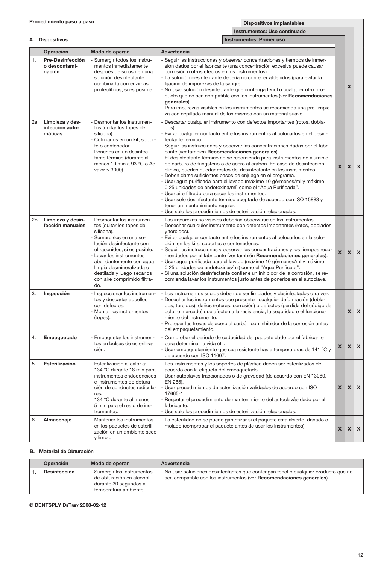|  | Dispositivos implantables |
|--|---------------------------|
|--|---------------------------|

Г

Ī.

|     |                                               |                                                                                                                                                                                                                                                                                                                 | Instrumentos: Uso continuado                                                                                                                                                                                                                                                                                                                                                                                                                                                                                                                                                                                                                                                                                                                                                                                                                                                                                                                                                                    |                |              |                           |
|-----|-----------------------------------------------|-----------------------------------------------------------------------------------------------------------------------------------------------------------------------------------------------------------------------------------------------------------------------------------------------------------------|-------------------------------------------------------------------------------------------------------------------------------------------------------------------------------------------------------------------------------------------------------------------------------------------------------------------------------------------------------------------------------------------------------------------------------------------------------------------------------------------------------------------------------------------------------------------------------------------------------------------------------------------------------------------------------------------------------------------------------------------------------------------------------------------------------------------------------------------------------------------------------------------------------------------------------------------------------------------------------------------------|----------------|--------------|---------------------------|
|     | A. Dispositivos                               |                                                                                                                                                                                                                                                                                                                 | Instrumentos: Primer uso                                                                                                                                                                                                                                                                                                                                                                                                                                                                                                                                                                                                                                                                                                                                                                                                                                                                                                                                                                        |                |              |                           |
|     | Operación                                     | Modo de operar                                                                                                                                                                                                                                                                                                  | Advertencia                                                                                                                                                                                                                                                                                                                                                                                                                                                                                                                                                                                                                                                                                                                                                                                                                                                                                                                                                                                     |                |              |                           |
| 1.  | Pre-Desinfección<br>o descontami-<br>nación   | Sumergir todos los instru-<br>mentos inmediatamente<br>después de su uso en una<br>solución desinfectante<br>combinada con enzimas<br>proteolíticos, si es posible.                                                                                                                                             | - Seguir las instrucciones y observar concentraciones y tiempos de inmer-<br>sión dados por el fabricante (una concentración excesiva puede causar<br>corrosión u otros efectos en los instrumentos).<br>- La solución desinfectante debería no contener aldehidos (para evitar la<br>fijación de impurezas de la sangre).<br>No usar solución desinfectante que contenga fenol o cualquier otro pro-<br>ducto que no sea compatible con los instrumentos (ver Recomendaciones<br>generales).<br>Para impurezas visibles en los instrumentos se recomienda una pre-limpie-<br>za con cepillado manual de los mismos con un material suave.                                                                                                                                                                                                                                                                                                                                                      |                | X            |                           |
| 2a. | Limpieza y des-<br>infección auto-<br>máticas | - Desmontar los instrumen-<br>tos (quitar los topes de<br>silicona).<br>Colocarlos en un kit, sopor-<br>te o contenedor.<br>Ponerlos en un desinfec-<br>tante térmico (durante al<br>menos 10 min a 93 °C o Ao<br>valor $>$ 3000).                                                                              | Descartar cualquier instrumento con defectos importantes (rotos, dobla-<br>dos).<br>- Evitar cualquier contacto entre los instrumentos al colocarlos en el desin-<br>fectante térmico.<br>- Seguir las instrucciones y observar las concentraciones dadas por el fabri-<br>cante (ver también Recomendaciones generales).<br>- El desinfectante térmico no se recomienda para instrumentos de aluminio,<br>de carburo de tungsteno o de acero al carbon. En caso de desinfección<br>clínica, pueden quedar restos del desinfectante en los instrumentos.<br>- Deben darse suficientes pasos de enjuage en el programa.<br>- Usar agua purificada para el lavado (máximo 10 gérmenes/ml y máximo<br>0,25 unidades de endotoxina/ml) como el "Aqua Purificada".<br>- Usar aire filtrado para secar los instrumentos.<br>- Usar solo desinfectante térmico aceptado de acuerdo con ISO 15883 y<br>tener un mantenimiento regular.<br>- Use solo los procedimientos de esterilización relacionados. | x              | $\mathsf{x}$ | $\pmb{\chi}$              |
| 2b. | Limpieza y desin-<br>fección manuales         | - Desmontar los instrumen-<br>tos (quitar los topes de<br>silicona).<br>Sumergirlos en una so-<br>lución desinfectante con<br>ultrasonidos, si es posible.<br>Lavar los instrumentos<br>abundantemente con aqua<br>limpia desmineralizada o<br>destilada y luego secarlos<br>con aire comprimido filtra-<br>do. | - Las impurezas no visibles deberían observarse en los instrumentos.<br>- Desechar cualquier instrumento con defectos importantes (rotos, doblados<br>y torcidos).<br>- Evitar cualquier contacto entre los instrumentos al colocarlos en la solu-<br>ción, en los kits, soportes o contenedores.<br>Sequir las instrucciones y observar las concentraciones y los tiempos reco-<br>mendados por el fabricante (ver también Recomendaciones generales).<br>Usar agua purificada para el lavado (máximo 10 gérmenes/ml y máximo<br>0,25 unidades de endotoxinas/ml) como el "Aqua Purificata".<br>Si una solución desinfectante contiene un inhibidor de la corrosión, se re-<br>comienda lavar los instrumentos justo antes de ponerlos en el autoclave.                                                                                                                                                                                                                                        | $\mathsf{x}$   | $\mathsf{x}$ | $\pmb{\chi}$              |
| 3.  | Inspección                                    | Inspeccionar los instrumen-<br>tos y descartar aquellos<br>con defectos.<br>Montar los instrumentos<br>(topes).                                                                                                                                                                                                 | - Los instrumentos sucios deben de ser limpiados y desinfectados otra vez.<br>Desechar los instrumentos que presenten cualquier deformación (dobla-<br>dos, torcidos), daños (roturas, corrosión) o defectos (perdida del código de<br>color o marcado) que afecten a la resistencia, la seguridad o el funciona-<br>miento del instrumento.<br>- Proteger las fresas de acero al carbón con inhibidor de la corrosión antes<br>del empaquetamiento.                                                                                                                                                                                                                                                                                                                                                                                                                                                                                                                                            |                | X            | $\boldsymbol{\mathsf{x}}$ |
| 4.  | Empaquetado                                   | Empaquetar los instrumen-<br>tos en bolsas de esteriliza-<br>ción.                                                                                                                                                                                                                                              | Comprobar el periodo de caducidad del paquete dado por el fabricante<br>para determinar la vida útil.<br>Usar empaquetamiento que sea resistente hasta temperaturas de 141 °C y<br>de acuerdo con ISO 11607.                                                                                                                                                                                                                                                                                                                                                                                                                                                                                                                                                                                                                                                                                                                                                                                    | X              | $\mathsf{x}$ | $\pmb{\chi}$              |
| 5.  | Esterilización                                | - Esterilización al calor a:<br>134 °C durante 18 min para<br>instrumentos endodóncicos<br>e instrumentos de obtura-<br>ción de conductos radicula-<br>res.<br>134 °C durante al menos<br>5 min para el resto de ins-<br>trumentos.                                                                             | - Los instrumentos y los soportes de plástico deben ser esterilizados de<br>acuerdo con la etiqueta del empaquetado.<br>Usar autoclaves fraccionados o de gravedad (de acuerdo con EN 13060,<br>EN 285).<br>- Usar procedimientos de esterilización validados de acuerdo con ISO<br>17665-1.<br>- Respetar el procedimiento de mantenimiento del autoclavåe dado por el<br>fabricante.<br>- Use solo los procedimientos de esterilización relacionados.                                                                                                                                                                                                                                                                                                                                                                                                                                                                                                                                         | $\mathsf{x}$   | $\mathsf{x}$ | $\boldsymbol{\mathsf{x}}$ |
| 6.  | Almacenaje                                    | Mantener los instrumentos<br>en los paquetes de esterili-<br>zación en un ambiente seco<br>y limpio.                                                                                                                                                                                                            | - La esterilidad no se puede garantizar si el paquete está abierto, dañado o<br>mojado (comprobar el paquete antes de usar los instrumentos).                                                                                                                                                                                                                                                                                                                                                                                                                                                                                                                                                                                                                                                                                                                                                                                                                                                   | x <sub>1</sub> | X            | $\pmb{\chi}$              |

#### B. Material de Obturación

| Operación           | Modo de operar                                                                                            | Advertencia                                                                                                                                                 |
|---------------------|-----------------------------------------------------------------------------------------------------------|-------------------------------------------------------------------------------------------------------------------------------------------------------------|
| <b>Desinfección</b> | - Sumergir los instrumentos<br>de obturación en alcohol<br>durante 30 segundos a<br>temperatura ambiente. | - No usar soluciones desinfectantes que contengan fenol o cualquier producto que no<br>sea compatible con los instrumentos (ver Recomendaciones generales). |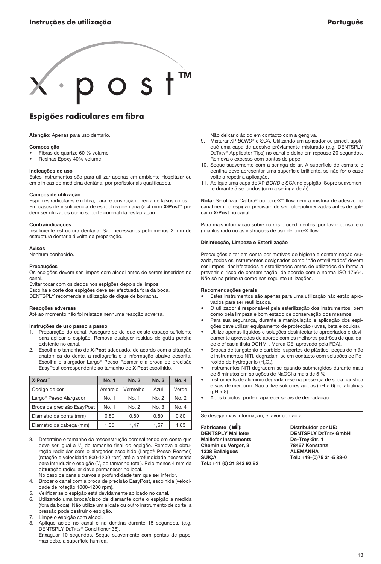<span id="page-12-0"></span>

## Espigões radiculares em fibra

Atencão: Apenas para uso dentario.

#### Composição

- Fibras de quartzo 60 % volume
- Resinas Epoxy 40% volume

#### Indicações de uso

Estes instrumentos são para utilizar apenas em ambiente Hospitalar ou em clinicas de medicina dentária, por profissionais qualificados.

#### Campos de utilização

Espigões radiculares em fibra, para reconstrução directa de falsos cotos. Em casos de insuficiencia de estructura dentaria (< 4 mm) X·Post™ podem ser utilizados como suporte coronal da restauração.

#### Contraindicações

Insuficiente estructura dentaria: São necessarios pelo menos 2 mm de estructura dentaria á volta da preparação.

#### Avisos

Nenhum conhecido.

#### Precauções

Os espigões devem ser limpos com alcool antes de serem inseridos no canal.

Evitar tocar com os dedos nos espigões depois de limpos. Escolha e corte dos espigões deve ser efectuada fora da boca. DENTSPLY recomenda a utilização de dique de borracha.

#### Reacções adversas

Até ao momento não foi relatada nenhuma reacção adversa.

#### Instruções de uso passo a passo

- 1. Preparação do canal. Assegure-se de que existe espaço suficiente para aplicar o espigão. Remova qualquer residuo de gutta percha existente no canal.
- Escolha o tamanho de X·Post adequado, de acordo com a situação anatómica do dente, a radiografia e a informação abaixo descrita. Escolha o alargador Largo® Peeso Reamer e a broca de precisão EasyPost correspondente ao tamanho do X·Post escolhido.

| X-Post™                            | <b>No. 1</b> | <b>No. 2</b> | <b>No. 3</b> | <b>No. 4</b> |
|------------------------------------|--------------|--------------|--------------|--------------|
| Codigo de cor                      | Amarelo      | Vermelho     | Azul         | Verde        |
| Largo <sup>®</sup> Peeso Alargador | No. 1        | No. 1        | No. 2        | No. 2        |
| Broca de precisão EasyPost         | No. 1        | No. 2        | No.3         | No. 4        |
| Diametro da ponta (mm)             | 0.80         | 0.80         | 0.80         | 0.80         |
| Diametro da cabeca (mm)            | 1.35         | 1.47         | 1.67         | 1.83         |

3. Determine o tamanho da resconstrução coronal tendo em conta que deve ser igual a 1/<sub>3</sub> do tamanho final do espigão. Remova a obturação radicular com o alargador escolhido (Largo® Peeso Reamer) (rotação e velocidade 800-1200 rpm) até a profundidade necessária para intruduzir o espigão (?/<sub>3</sub> do tamanho total). Pelo menos 4 mm da obturação radicular deve permanecer no local.

No caso de canais curvos a profundidade tem que ser inferior.

- 4. Brocar o canal com a broca de precisão EasyPost, escolhida (velocidade de rotação 1000-1200 rpm).
- 5. Verificar se o espigão está devidamente aplicado no canal.
- 6. Utilizando uma broca/disco de diamante corte o espigão á medida (fora da boca). Não utilize um alicate ou outro instrumento de corte, a pressão pode destruir o espigão.
- 7. Limpe o espigão com alcool.
- 8. Aplique acido no canal e na dentina durante 15 segundos. (e.g. Dentsply DeTrey® Conditioner 36). Enxaguar 10 segundos. Seque suavemente com pontas de papel mas deixe a superficie humida.

Não deixar o ácido em contacto com a gengiva.

- 9. Misturar XP BOND<sup>®</sup> e SCA. Utilizando um aplicador ou pincel, appliqué uma capa de adesivo préviamente misturado (e.g. DENTSPLY DeTrey® Applicator Tips) no canal e deixe em repouso 20 segundos. Remova o excesso com pontas de papel.
- 10. Seque suavemente com a seringa de ár. A superficie de esmalte e dentina deve apresentar uma superficie brilhante, se não for o caso volte a repetir a aplicação.
- 11. Aplique uma capa de XP *Bond* e SCA no espigão. Sopre suavemente durante 5 segundos (com a seringa de ár).

Nota: Se utilizar Calibra® ou core·X™ flow nem a mistura de adesivo no canal nem no espigão precisam de ser foto-polimerizadas antes de aplicar o X·Post no canal.

Para mais informação sobre outros procedimentos, por favor consulte o guia ilustrado ou as instruções de uso de core·X flow.

#### Disinfecção, Limpeza e Esterilização

Precauções a ter em conta por motivos de higiene e contaminação cruzada, todos os instrumentos designados como "não esterilizados" devem ser limpos, desinfectados e esterilizados antes de utilizados de forma a prevenir o risco de contaminação, de acordo com a norma ISO 17664. Não só na primeira como nas seguinte utilizações.

#### Recomendações gerais

- Estes instrumentos são apenas para uma utilização não estão aprovados para ser reutilizados.
- O utilizador é responsável pela esterilização dos instrumentos, bem como pela limpeza e bom estado de conservação dos mesmos.
- Para sua segurança, durante a manipulação e aplicação dos espigões deve utilizar equipamento de protecção (luvas, bata e oculos).
- Utilize apenas liquidos e soluções desinfectante apropriados e devidamente aprovados de acordo com os melhores padrões de qualidade e eficácia (lista DGHM-, Marca CE, aprovado pela FDA).
- Brocas de tungstenio e carbide, suportes de plástico, peças de mão e instrumentos NiTi, degradam-se em contacto com solucões de Peroxido de hydrogenio ( $H_2O_2$ ).
- Instrumentos NiTi degradam-se quando submergidos durante mais de 5 minutos em soluções de NaOCl a mais de 5 %.
- Instruments de aluminio degradam-se na presença de soda caustica e sais de mercurio. Não utilize soluções acidas (pH < 6) ou alcalinas  $(bH > 8)$ .
- Após 5 ciclos, podem aparecer sinais de degradação.

Se desejar mais informação, é favor contactar:

Fabricante ( $\blacksquare$ ): Distribuidor por UE: Maillefer Instruments<br>
Chemin du Verger. 3 (28467 Konstanz) Chemin du Verger, 3 78467 Konstanz 1338 Ballaigues<br>SUÍCA Tel.: +41 (0) 21 843 92 92

**DENTSPLY Maillefer Community DENTSPLY DeTrey GmbH**<br>Maillefer Instruments De-Trey-Str. 1 Tel.: +49-(0)75 31-5 83-0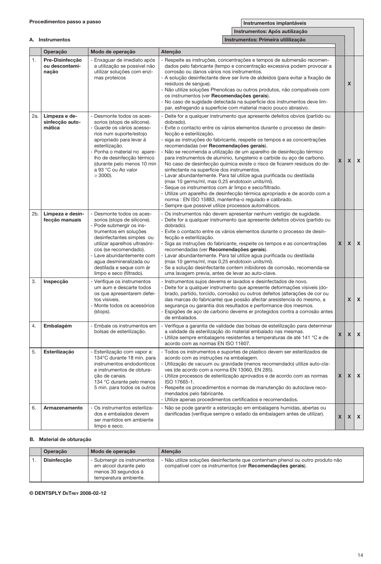|     |                                            |                                                                                                                                                                                                                                                                                                                  | Instrumentos: Após autilização                                                                                                                                                                                                                                                                                                                                                                                                                                                                                                                                                                                                                                                                                                                                                                                                                                                                                                                                                     |   |   |                           |
|-----|--------------------------------------------|------------------------------------------------------------------------------------------------------------------------------------------------------------------------------------------------------------------------------------------------------------------------------------------------------------------|------------------------------------------------------------------------------------------------------------------------------------------------------------------------------------------------------------------------------------------------------------------------------------------------------------------------------------------------------------------------------------------------------------------------------------------------------------------------------------------------------------------------------------------------------------------------------------------------------------------------------------------------------------------------------------------------------------------------------------------------------------------------------------------------------------------------------------------------------------------------------------------------------------------------------------------------------------------------------------|---|---|---------------------------|
|     | A. Instrumentos                            |                                                                                                                                                                                                                                                                                                                  | Instrumentos: Primeira utililização                                                                                                                                                                                                                                                                                                                                                                                                                                                                                                                                                                                                                                                                                                                                                                                                                                                                                                                                                |   |   |                           |
|     | Operação                                   | Modo de operação                                                                                                                                                                                                                                                                                                 | Atenção                                                                                                                                                                                                                                                                                                                                                                                                                                                                                                                                                                                                                                                                                                                                                                                                                                                                                                                                                                            |   |   |                           |
| 1.  | Pre-Disinfecção<br>ou descontami-<br>nação | - Enxaguar de imediato após<br>a utilização se possivel não<br>utilizar soluções com enzi-<br>mas proteicos                                                                                                                                                                                                      | Respeite as instruções, concentrações e tempos de submersão recomen-<br>dados pelo fabricante (tempo e concentração excessiva podem provocar a<br>corrosão ou danos vários nos instrumentos.<br>- A solução desinfectante deve ser livre de aldeídos (para evitar a fixação de<br>residuos de sangue).<br>- Não utilize soluções Phenolicas ou outros produtos, não compativeis com<br>os instrumentos (ver Recomendações gerais).<br>No caso de sugidade detectada na superficie dos instrumentos deve lim-<br>par, esfregando a superficie com material macio pouco abrasivo.                                                                                                                                                                                                                                                                                                                                                                                                    |   | X |                           |
| 2a. | Limpeza e de-<br>sinfecção auto-<br>mática | - Desmonte todos os aces-<br>sorios (stops de silicone).<br>Guarde os vários acesso-<br>rios num suporte/estojo<br>apropriado para levar á<br>esterilização.<br>- Ponha o material no apare-<br>lho de desinfecção térmico<br>(durante pelo menos 10 min<br>a 93 °C ou Ao valor<br>$>$ 3000).                    | Deite for a qualquer instrumento que apresente defeitos obvios (partido ou<br>dobrado).<br>Evite o contacto entre os vários elementos durante o processo de desin-<br>fecção e esterilização.<br>siga as instruções do fabricante, respeite os tempos e as concentrações<br>recomendadas (ver Recomendações gerais).<br>Não se recomenda a utilização de um aparelho de desinfecção térmico<br>para instrumentos de aluminio, tungstenio e carbide ou aço de carbono.<br>No caso de desinfecção quimica existe o risco de ficarem residuos do de-<br>sinfectante na superficie dos instrumentos.<br>Lavar abundantemente. Para tal utilize agua purificada ou destilada<br>(max 10 germs/ml, max 0,25 endotoxin units/ml).<br>- Seque os instrumentos com ár limpo e seco/filtrado.<br>- Utilize um aparelho de desinfecção térmica apropriado e de acordo com a<br>norma : EN ISO 15883, mantenha-o regulado e calibrado.<br>- Sempre que possivel utilize processos automáticos. | X | X | $\boldsymbol{\mathsf{x}}$ |
| 2b. | Limpeza e desin-<br>fecção manuais         | - Desmonte todos os aces-<br>sorios (stops de silicone).<br>Pode submergir os ins-<br>trumentos em soluções<br>desinfectantes simples ou<br>utilizar aparelhos ultrasóni-<br>cos (se recomendado).<br>Lave abundantemente com<br>aqua desmineralizada ou<br>destilada e seque com ár<br>limpo e seco (filtrado). | - Os instrumentos não devem apresentar nenhum vestigio de sugidade.<br>- Deite for a qualquer instrumento que apresente defeitos obvios (partido ou<br>dobrado).<br>- Evite o contacto entre os vários elementos durante o processo de desin-<br>fecção e esterilização.<br>- Siga as instruções do fabricante, respeite os tempos e as concentrações<br>recomendadas (ver Recomendações gerais).<br>Lavar abundantemente. Para tal utilize aqua purificada ou destilada<br>(max 10 germs/ml, max 0,25 endotoxin units/ml).<br>- Se a solução desinfectante contem inibidores de corrosão, recomenda-se<br>uma lavagem previa, antes de levar ao auto-clave.                                                                                                                                                                                                                                                                                                                       | X | X | $\boldsymbol{\mathsf{x}}$ |
| 3.  | Inspecção                                  | - Verifique os instrumentos<br>um aum e descarte todos<br>os que apresentarem defei-<br>tos visiveis.<br>Monte todos os acessórios<br>(stops).                                                                                                                                                                   | - Instrumentos sujos devems er lavados e desinfectados de novo.<br>- Deite for a qualquer instrumento que apresente deformações visiveis (do-<br>brado, partido, torcido, corrosão) ou outros defeitos (alterações de cor ou<br>das marcas do fabricante) que possão afectar aresistencia do mesmo, a<br>segurança ou garantia dos resultados e performance dos mesmos.<br>Espigões de aço de carbono devems er protegidos contra a corrosão antes<br>de embalados.                                                                                                                                                                                                                                                                                                                                                                                                                                                                                                                |   | X | $\boldsymbol{\mathsf{x}}$ |
| 4.  | Embalagém                                  | - Embale os instrumentos em<br>bolsas de esterilização.                                                                                                                                                                                                                                                          | Verifique a garantia de validade das bolsas de estelilização para determinar<br>a validade da esterilização do material embalado nas mesmas.<br>- Utilize sempre embalagens resistentes a temperaturas de até 141 °C e de<br>acordo com as normas EN ISO 11607.                                                                                                                                                                                                                                                                                                                                                                                                                                                                                                                                                                                                                                                                                                                    | X | X | X                         |
| 5.  | Esterilização                              | - Esterilização com vapor a:<br>134°C durante 18 min. para<br>instrumentos endodonticos<br>e instrumentos de obtura-<br>ção de canais.<br>134 °C durante pelo menos<br>5 min. para todos os outros                                                                                                               | - Todos os instrumentos e suportes de plastico devem ser esterilizados de<br>acordo com as instruções na embalagem.<br>Utilização de vacuum ou gravidade (menos recomendado) utilize auto-cla-<br>ves (de acordo com a norma EN 13060, EN 285).<br>Utilize processos de esterilização aprovados e de acordo com as normas<br>ISO 17665-1.<br>Respeite os procedimentos e normas de manutenção do autoclave reco-<br>mendados pelo fabricante.<br>- Utilize apenas procedimentos certificados e recomendados.                                                                                                                                                                                                                                                                                                                                                                                                                                                                       | X | X | $\boldsymbol{\mathsf{x}}$ |
| 6.  | Armazenamento                              | - Os instrumentos esteriliza-<br>dos e embalados devem<br>ser mantidos em ambiente<br>limpo e seco.                                                                                                                                                                                                              | Não se pode garantir a esterização em embalagens humidas, abertas ou<br>danificadas (verifique sempre o estado da embalagem antes de utilizar).                                                                                                                                                                                                                                                                                                                                                                                                                                                                                                                                                                                                                                                                                                                                                                                                                                    | X | X | X                         |

#### B. Material de obturação

| Operação    | Modo de operação                                                                                      | Atencão                                                                                                                                      |
|-------------|-------------------------------------------------------------------------------------------------------|----------------------------------------------------------------------------------------------------------------------------------------------|
| Disinfeccão | - Submergir os instrumentos<br>em alcool durante pelo<br>menos 30 segundos á<br>temperatura ambiente. | - Não utilize soluções desinfectante que contenham phenol ou outro produto não<br>compativel com os instrumentos (ver Recomendações gerais). |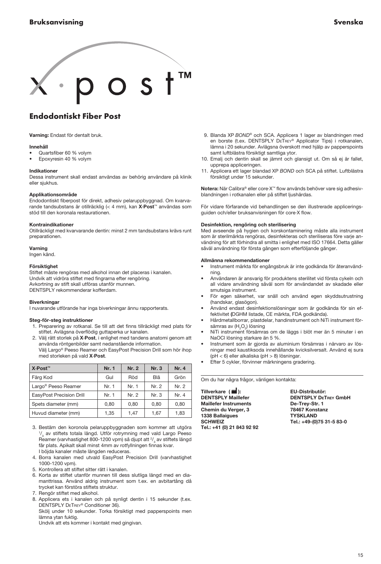# <span id="page-14-0"></span> $\circ$  s t<sup>TM</sup>

## Endodontiskt Fiber Post

Varning: Endast för dentalt bruk.

#### Innehåll

- Quartsfiber 60 % volym
- Epoxyresin 40 % volym

#### Indikationer

Dessa instrument skall endast användas av behörig användare på klinik eller sjukhus.

#### Applikationsområde

Endodontiskt fiberpost för direkt, adhesiv pelaruppbyggnad. Om kvarvarande tandsubstans är otillräcklig (< 4 mm), kan X·Post™ användas som stöd till den koronala restaurationen.

#### Kontraindikationer

Otillräckligt med kvarvarande dentin: minst 2 mm tandsubstans krävs runt preparationen.

#### Varning

Ingen känd.

#### Försiktighet

Stiftet måste rengöras med alkohol innan det placeras i kanalen. Undvik att vidröra stiftet med fingrarna efter rengöring. Avkortning av stift skall utföras utanför munnen. DENTSPLY rekommenderar kofferdam.

#### **Biverkningar**

I nuvarande utförande har inga biverkningar ännu rapporterats.

#### Steg-för-steg instruktioner

- 1. Preparering av rotkanal. Se till att det finns tillräckligt med plats för stiftet. Avlägsna överflödig guttaperka ur kanalen.
- Välj rätt storlek på X·Post, i enlighet med tandens anatomi genom att använda röntgenbilder samt nedanstående information. Välj Largo® Peeso Reamer och EasyPost Precision Drill som hör ihop

med storleken på vald X·Post.

| X⋅Post <sup>™</sup>             | Nr. 1 | Nr. 2 | Nr. 3 | Nr. 4 |
|---------------------------------|-------|-------|-------|-------|
| Färg Kod                        | Gul   | Röd   | Blå   | Grön  |
| Largo <sup>®</sup> Peeso Reamer | Nr. 1 | Nr. 1 | Nr. 2 | Nr. 2 |
| EasyPost Precision Drill        | Nr. 1 | Nr. 2 | Nr. 3 | Nr. 4 |
| Spets diameter (mm)             | 0.80  | 0.80  | 0.80  | 0.80  |
| Huvud diameter (mm)             | 1,35  | 1.47  | 1,67  | 1.83  |

 3. Bestäm den koronola pelaruppbyggnaden som kommer att utgöra 1/<sub>3</sub> av stiftets totala längd. Utför rotrymning med vald Largo Peeso Reamer (varvhastighet 800-1200 vpm) så djupt att <sup>2</sup>/<sub>3</sub> av stiftets längd får plats. Apikalt skall minst 4mm av rotfyllningen finnas kvar. I böjda kanaler måste längden reduceras.

- 4. Borra kanalen med utvald EasyPost Precision Drill (varvhastighet 1000-1200 vpm).
- 5. Kontrollera att stiftet sitter rätt i kanalen.
- 6. Korta av stiftet utanför munnen till dess slutliga längd med en diamanttrissa. Använd aldrig instrument som t.ex. en avbitartång då trycket kan förstöra stiftets struktur.
- 7. Rengör stiftet med alkohol.
- 8. Applicera ets i kanalen och på synligt dentin i 15 sekunder (t.ex. Dentsply DeTrey® Conditioner 36).

 Skölj under 10 sekunder. Torka försiktigt med papperspoints men lämna ytan fuktig.

Undvik att ets kommer i kontakt med gingivan.

- 9. Blanda XP *Bond®* och SCA. Applicera 1 lager av blandningen med en borste (t.ex. DENTSPLY DETREY® Applicator Tips) i rotkanalen, lämna i 20 sekunder. Avlägsna överskott med hjälp av papperspoints samt luftblästra försiktigt samtliga ytor.
- 10. Emalj och dentin skall se jämnt och glansigt ut. Om så ej är fallet, upprepa appliceringen.
- 11. Applicera ett lager blandad XP *Bond* och SCA på stiftet. Luftblästra försiktigt under 15 sekunder.

Notera: När Calibra® eller core·X™ flow används behöver vare sig adhesivblandningen i rotkanalen eller på stiftet ljushärdas.

För vidare förfarande vid behandlingen se den illustrerade appliceringsguiden och/eller bruksanvisningen för core·X flow.

#### Desinfektion, rengöring och sterilisering

Med avseende på hygien och korskontaminering måste alla instrument som är sterilmärkta rengöras, desinfekteras och steriliseras före varje användning för att förhindra all smitta i enlighet med ISO 17664. Detta gäller såväl användning för första gången som efterföljande gånger.

#### Allmänna rekommendationer

- Instrument märkta för engångsbruk är inte godkända för återanvändning.
- Användaren är ansvarig för produktens sterilitet vid första cykeln och all vidare användning såväl som för användandet av skadade eller smutsiga instrument.
- För egen säkerhet, var snäll och använd egen skyddsutrustning (handskar, glasögon).
- Använd endast desinfektionslösningar som är godkända för sin effektivitet (DGHM listade, CE märkta, FDA godkända).
- Hårdmetallborrar, plastdelar, handinstrument och NiTi instrument försämras av (H<sub>2</sub>O<sub>2</sub>) lösning
- NiTi instrument försämras om de läggs i blöt mer än 5 minuter i en NaOCl lösning starkare än 5 %.
- Instrument som är gjorda av aluminium försämras i närvaro av lösningar med kaustiksoda innehållande kvicksilversalt. Använd ej sura (pH < 6) eller alkaliska (pH > 8) lösningar.
- Efter 5 cykler, förvinner märkningens gradering.

Om du har några frågor, vänligen kontakta:

Tillverkare ( ): EU-Distributör: Maillefer Instruments<br>
Chemin du Verger, 3 78467 Konstanz Chemin du Verger, 3 78467 Konstanz 1338 Ballaigues<br>1338 Ballaigues 1338 Ballaigues<br>SCHWEIZ Tel.: +41 (0) 21 843 92 92

DENTSPLY DETREY GmbH Tel.: +49-(0)75 31-5 83-0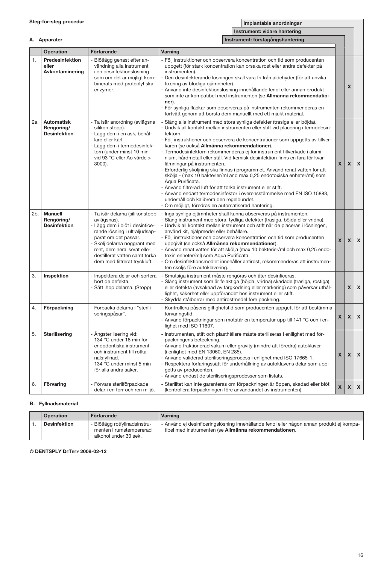|     | Instrument: vidare hantering                           |                                                                                                                                                                                                                                                                         |                                                                                                                                                                                                                                                                                                                                                                                                                                                                                                                                                                                                                                                                                                                                                                                                                                                                                                                              |              |              |                           |
|-----|--------------------------------------------------------|-------------------------------------------------------------------------------------------------------------------------------------------------------------------------------------------------------------------------------------------------------------------------|------------------------------------------------------------------------------------------------------------------------------------------------------------------------------------------------------------------------------------------------------------------------------------------------------------------------------------------------------------------------------------------------------------------------------------------------------------------------------------------------------------------------------------------------------------------------------------------------------------------------------------------------------------------------------------------------------------------------------------------------------------------------------------------------------------------------------------------------------------------------------------------------------------------------------|--------------|--------------|---------------------------|
|     | A. Apparater                                           |                                                                                                                                                                                                                                                                         | Instrument: förstagångshantering                                                                                                                                                                                                                                                                                                                                                                                                                                                                                                                                                                                                                                                                                                                                                                                                                                                                                             |              |              |                           |
|     | Operation                                              | Förfarande                                                                                                                                                                                                                                                              | Varning                                                                                                                                                                                                                                                                                                                                                                                                                                                                                                                                                                                                                                                                                                                                                                                                                                                                                                                      |              |              |                           |
| 1.  | Predesinfektion<br>eller<br>Avkontaminering            | Blötlägg genast efter an-<br>vändning alla instrument<br>i en desinfektionslösning<br>som om det är möjligt kom-<br>binerats med proteolytiska<br>enzymer.                                                                                                              | - Följ instruktioner och observera koncentration och tid som producenten<br>uppgett (för stark koncentration kan orsaka rost eller andra defekter på<br>instrumenten).<br>Den desinfekterande lösningen skall vara fri från aldehyder (för att unvika<br>fixering av blodiga ojämnheter).<br>Använd inte desinfektionslösning innehållande fenol eller annan produkt<br>som inte är kompatibel med instrumenten (se Allmänna rekommendatio-<br>ner).<br>- För synliga fläckar som observeras på instrumenten rekommenderas en<br>förtvätt genom att borsta dem manuellt med ett mjukt material.                                                                                                                                                                                                                                                                                                                              |              | X            |                           |
| 2a. | <b>Automatisk</b><br>Rengöring/<br><b>Desinfektion</b> | - Ta isär anordning (avlägsna<br>silikon stopp).<br>- Lägg dem i en ask, behål-<br>lare eller kärl.<br>- Lägg dem i termodesinfek-<br>torn (under minst 10 min<br>vid 93 °C eller Ao värde ><br>3000).                                                                  | - Släng alla instrument med stora synliga defekter (trasiga eller böjda).<br>- Undvik all kontakt mellan instrumenten eller stift vid placering i termodesin-<br>fektorn.<br>- Följ instruktioner och observera de koncentrationer som uppgetts av tillver-<br>karen (se också Allmänna rekommendationer).<br>- Termodesinfektorn rekommenderas ej för instrument tillverkade i alumi-<br>nium, hårdmetall eller stål. Vid kemisk desinfektion finns en fara för kvar-<br>lämningar på instrumenten.<br>Erforderlig sköljning ska finnas i programmet. Använd renat vatten för att<br>skölja - (max 10 bakterier/ml and max 0,25 endotoxiska enheter/ml) som<br>Aqua Purificata.<br>- Använd filtrerad luft för att torka instrument eller stift.<br>- Använd endast termodesinfektor i överensstämmelse med EN ISO 15883,<br>underhåll och kalibrera den regelbundet.<br>- Om möjligt, föredras en automatiserad hantering. | X            | $\mathsf{x}$ | $\boldsymbol{\mathsf{x}}$ |
| 2b. | Manuell<br>Rengöring/<br><b>Desinfektion</b>           | - Ta isär delarna (silikonstopp<br>avlägsnas).<br>- Lägg dem i blöt i desinfice-<br>rande lösning i ultraljudsap-<br>parat om det passar.<br>Skölj delarna noggrant med<br>rent, demineraliserat eller<br>destillerat vatten samt torka<br>dem med filtrerat tryckluft. | - Inga synliga ojämnheter skall kunna observeras på instrumenten.<br>- Släng instrument med stora, tydliga defekter (trasiga, böjda eller vridna).<br>- Undvik all kontakt mellan instrument och stift när de placeras i lösningen,<br>använd kit, hjälpmedel eller behållare.<br>- Följ instruktioner och observera koncentration och tid som producenten<br>uppgivit (se också Allmänna rekommendationer).<br>- Använd renat vatten för att skölja (max 10 bakterier/ml och max 0,25 endo-<br>toxin enheter/ml) som Aqua Purificata.<br>Om desinfektionsmedlet innehåller antirost, rekommenderas att instrumen-<br>ten sköljs före autoklavering.                                                                                                                                                                                                                                                                         | X            | X            | $\boldsymbol{\mathsf{x}}$ |
| 3.  | Inspektion                                             | - Inspektera delar och sortera<br>bort de defekta.<br>Sätt ihop delarna. (Stopp)                                                                                                                                                                                        | - Smutsiga instrument måste rengöras och åter desinficeras.<br>Släng instrument som är felaktiga (böjda, vridna) skadade (trasiga, rostiga)<br>eller defekta (avsaknad av färgkodning eller markering) som påverkar uthål-<br>lighet, säkerhet eller uppförandet hos instrument eller stift.<br>- Skydda stålborrar med antirostmedel före packning.                                                                                                                                                                                                                                                                                                                                                                                                                                                                                                                                                                         |              | X            | $\boldsymbol{\mathsf{x}}$ |
| 4.  | Förpackning                                            | Förpacka delarna i "sterili-<br>seringspåsar".                                                                                                                                                                                                                          | Kontrollera påsens giltighetstid som producenten uppgett för att bestämma<br>förvaringstid.<br>- Använd förpackningar som motstår en temperatur upp till 141 °C och i en-<br>lighet med ISO 11607.                                                                                                                                                                                                                                                                                                                                                                                                                                                                                                                                                                                                                                                                                                                           | X            | X            | $\boldsymbol{\mathsf{x}}$ |
| 5.  | Sterilisering                                          | Ångsterilisering vid:<br>134 °C under 18 min för<br>endodontiska instrument<br>och instrument till rotka-<br>nalsfyllnad.<br>134 °C under minst 5 min<br>för alla andra saker.                                                                                          | - Instrumenten, stift och plasthållare måste steriliseras i enllighet med för-<br>packningens beteckning.<br>- Använd fraktionerad vakum eller gravity (mindre att föredra) autoklaver<br>(i enlighet med EN 13060, EN 285).<br>- Använd validerad steriliseringsprocess i enlighet med ISO 17665-1.<br>- Respektera förfaringssätt för underhållning av autoklavens delar som upp-<br>getts av producenten.<br>- Använd endast de steriliseringsprodesser som listats.                                                                                                                                                                                                                                                                                                                                                                                                                                                      | $\mathsf{x}$ |              | $x \mid x$                |
| 6.  | Förvaring                                              | - Förvara sterilförpackade<br>delar i en torr och ren miljö.                                                                                                                                                                                                            | - Sterilitet kan inte garanteras om förpackningen är öppen, skadad eller blöt<br>(kontrollera förpackningen före användandet av instrumenten).                                                                                                                                                                                                                                                                                                                                                                                                                                                                                                                                                                                                                                                                                                                                                                               | X            | X            | $\pmb{\mathsf{x}}$        |

### B. Fyllnadsmaterial

| Operation           | Förfarande                                                                        | Varning                                                                                                                                            |
|---------------------|-----------------------------------------------------------------------------------|----------------------------------------------------------------------------------------------------------------------------------------------------|
| <b>Desinfektion</b> | - Blötlägg rotfyllnadsinstru-<br>menten i rumstempererad<br>alkohol under 30 sek. | - Använd ej desinficeringslösning innehållande fenol eller någon annan produkt ej kompa-<br>tibel med instrumenten (se Allmänna rekommendationer). |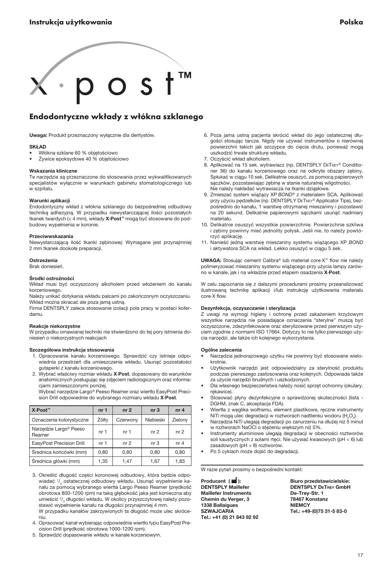<span id="page-16-0"></span>

## Endodontyczne wkłady z włókna szklanego

Uwaga: Produkt przeznaczony wyłącznie dla dentystów.

#### SKŁAD

- Włókna szklane 60 % objętościowo
- Żywice epoksydowe 40 % objętościowo

#### Wskazania kliniczne

Te narzędzia są przeznaczone do stosowania przez wykwalifikowanych specjalistów wyłącznie w warunkach gabinetu stomatologicznego lub w szpitalu.

#### Warunki aplikacji

Endodontyczny wkład z włókna szklanego do bezpośredniej odbudowy techniką adhezyjną. W przypadku niewystarczającej ilości pozostałych tkanek twardych (< 4 mm), wkłady X·Post™ mogą być stosowane do podbudowy wypełnienia w koronie.

#### Przeciwwskazania

Niewystarczającą ilość tkanki zębinowej: Wymagane jest przynajmniej 2 mm tkanek dookoła preparacji.

#### Ostrzeżenia

#### Brak doniesień.

#### Środki ostrożności

Wkład musi być oczyszczony alkoholem przed włożeniem do kanału korzeniowego.

Należy unikać dotykania wkładu palcami po zakończonym oczyszczaniu. Wkład można skracać ale poza jamą ustną.

Firma DENTSPLY zaleca stosowanie izolacji pola pracy w postaci koferdamu.

#### Reakcje niekorzystne

W przypadku omawianej techniki nie stwierdzono do tej pory istnienia doniesień o niekorzystnych reakcjach

#### Szczegółowa instrukcja stosowania

- 1. Opracowanie kanału korzeniowego. Sprawdzić czy istnieje odpowiednia przestrzeń dla umieszczenia wkładu. Usunąć pozostałości gutaperki z kanału korzeniowego.
- 2. Wybrać właściwy rozmiar wkładu X·Post, dopasowany do warunków anatomicznych posługując się zdjęciem radiologicznym oraz informacjami zamieszczonymi poniżej.

 Wybrać narzędzie Largo® Peeso Reamer oraz wiertło EasyPost Precision Drill odpowiednie do wybranego rozmiaru wkładu X-Post.

| X∙Post™                                      | nr <sub>1</sub> | nr <sub>2</sub> | nr <sub>3</sub> | nr <sub>4</sub> |
|----------------------------------------------|-----------------|-----------------|-----------------|-----------------|
| Oznaczenia kolorystyczne                     | Żółtv           | Czerwony        | Niebieski       | Zielony         |
| Narzedzie Largo <sup>®</sup> Peeso<br>Reamer | nr 1            | nr 1            | nr <sub>2</sub> | nr <sub>2</sub> |
| EasyPost Precision Drill                     | nr 1            | nr <sub>2</sub> | nr <sub>3</sub> | nr <sub>4</sub> |
| Średnica końcówki (mm)                       | 0.80            | 0.80            | 0.80            | 0.80            |
| Średnica główki (mm)                         | 1,35            | 1.47            | 1.67            | 1.83            |

- 3. Określić długość części koronowej odbudowy, która będzie odpowiadać 1/<sub>3</sub> ostatecznej odbudowy wkładu. Usunąć wypełnienie kanału za pomocą wybranego wiertła Largo Peeso Reamer (prędkość obrotowa 800-1200 rpm) na taką głębokość jaka jest konieczna aby umieścić 2/<sub>3</sub> długości wkładu. W okolicy przyszczytowej należy pozostawić wypełnienie kanału na długości przynajmniej 4 mm. W przypadku kanałów zakrzywionych ta długość może ulec skróceniu.
- 4. Opracować kanał wybierając odpowiednie wiertło typu EasyPost Precision Drill (prędkość obrotowa 1000-1200 rpm).
- 5. Sprawdzić dopasowanie wkładu w kanale korzeniowym.
- 6. Poza jama ustną pacjenta skrócić wkład do jego ostatecznej długości stosując tarcze. Nigdy nie używać instrumentów o nierównej powierzchni takich jak szczypce do cięcia drutu, ponieważ mogą uszkodzić trwale strukturę wkładu.
- 7. Oczyścić wkład alkoholem.
- 8. Aplikować na 15 sek. wytrawiacz (np. DENTSPLY DETREY® Conditioner 36) do kanału korzeniowego oraz na odkryte obszary zębiny. Spłukać w ciągu 10 sek. Delikatnie osuszyć, za pomocą papierowych sączków, pozostawiając zębinę w stanie naturalnej wilgotności. Nie należy nakładać wytrawiacza na tkanki dziąsłowe.
- 9. Zmieszać system wiążący XP *Bond®* z materialem SCA. Aplikować przy użyciu pędzelków (np. DENTSPLY DETREY® Applicator Tips), bezpośrednio do kanału, 1 warstwę otrzymanej mieszaniny i pozostawić na 20 sekund. Delikatnie papierowymi sączkami usunąć nadmiary materiału.
- 10. Delikatnie osuszyć wszystkie powierzchnie. Powierzchnie szkliwa i zębiny powinny mieć jednolity połysk. Jeśli nie, to należy powtórzyć aplikację.
- 11. Nanieść jedną warstwę mieszaniny systemu wiążącego XP *Bond* i aktywatora SCA na wkład. Lekko osuszyć w ciągu 5 sek.

UWAGA: Stosując cement Calibra® lub materiał core·X™ flow nie należy polimeryzować mieszaniny systemu wiążącego przy użycia lampy zarówno w kanale, jak i na wkładzie przed etapem osadzenia X·Post.

W celu zapoznania się z dalszymi procedurami prosimy przeanalizować ilustrowaną technikę aplikacji i/lub instrukcję użytkowania materiału core·X flow.

#### Dezynfekcja, oczyszczanie i sterylizacja

Z uwagi na wymogi higieny i ochronę przed zakażeniem krzyżowym wszystkie narzędzia nie posiadające oznaczenia "sterylne" muszą być oczyszczone, zdezynfekowane oraz sterylizowane przed pierwszym użyciem zgodnie z normami ISO 17664. Dotyczy to nie tylko pierwszego użycia narzędzi, ale także ich kolejnego wykorzystania.

#### Ogólne zalecenia

- Narzędzia jednorazowego użytku nie powinny być stosowane wielokrotnie.
- Użytkownik narzędzi jest odpowiedzialny za sterylność produktu podczas pierwszego zastosowania oraz kolejnych. Odpowiada także za użycie narzędzi brudnych i uszkodzonych.
- Dla własnego bezpieczeństwa należy nosić sprzęt ochronny (okulary, rękawice).
- Stosować płyny dezynfekcyjne o sprawdzonej skuteczności (lista DGHM, znak C, akceptacja FDA).
- Wiertła z węglika wolframu, element plastikowe, ręczne instrumenty NiTi mogą ulec degradacji w roztworach nadtlenku wodoru (H<sub>2</sub>O<sub>2</sub>).
- Narzędzia NiTi ulegają degradacji po zanurzeniu na dłużej niż 5 minut w roztworach NaOCl o stężeniu większym niż 5%.
- Instrumenty aluminiowe ulegają degradacji w obecności roztworów soli kaustycznych z solami rtęci. Nie używać kwasowych (pH < 6) lub zasadowych (pH > 8) roztworów.
- Po 5 cyklach może dojść do degradacji.

W razie pytań prosimy o bezpośredni kontakt:

Producent ( ): Biuro przedstawicielskie: **Maillefer Instruments** Chemin du Verger, 3 78467 Konstanz 1338 Ballaigues<br>SZWAJCARIA Tel.: +41 (0) 21 843 92 92

DENTSPLY DETREY GmbH<br>De-Trey-Str. 1 Tel.: +49-(0)75 31-5 83-0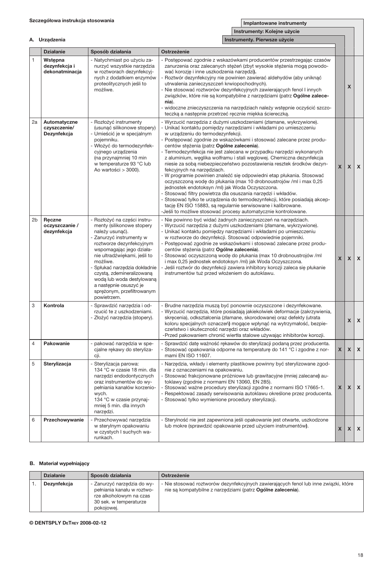A. Urządzenia

Implantowane instrumenty

Instrumenty: Kolejne użycie

|                | A. Urządzenia<br>Instrumenty. Pierwsze użycie |                                                                                                                                                                                                                                                                                                                                                                              |                                                                                                                                                                                                                                                                                                                                                                                                                                                                                                                                                                                                                                                                                                                                                                                                                                                                                                                                                                                                                                               |                    |                           |                    |
|----------------|-----------------------------------------------|------------------------------------------------------------------------------------------------------------------------------------------------------------------------------------------------------------------------------------------------------------------------------------------------------------------------------------------------------------------------------|-----------------------------------------------------------------------------------------------------------------------------------------------------------------------------------------------------------------------------------------------------------------------------------------------------------------------------------------------------------------------------------------------------------------------------------------------------------------------------------------------------------------------------------------------------------------------------------------------------------------------------------------------------------------------------------------------------------------------------------------------------------------------------------------------------------------------------------------------------------------------------------------------------------------------------------------------------------------------------------------------------------------------------------------------|--------------------|---------------------------|--------------------|
|                | <b>Działanie</b>                              | Sposób działania                                                                                                                                                                                                                                                                                                                                                             | Ostrzeżenie                                                                                                                                                                                                                                                                                                                                                                                                                                                                                                                                                                                                                                                                                                                                                                                                                                                                                                                                                                                                                                   |                    |                           |                    |
| $\mathbf{1}$   | Wstępna<br>dezynfekcja i<br>dekonatminacja    | - Natychmiast po użyciu za-<br>nurzyć wszystkie narzędzia<br>w roztworach dezynfekcyj-<br>nych z dodatkiem enzymów<br>proteolitycznych jeśli to<br>możliwe.                                                                                                                                                                                                                  | - Postępować zgodnie z wskazówkami producentów przestrzegając czasów<br>zanurzenia oraz zalecanych stężeń (zbyt wysokie stężenia mogą powodo-<br>wać korozję i inne uszkodzenia narzędzi).<br>Roztwór dezynfekcyjny nie powinien zawierać aldehydów (aby uniknąć<br>utrwalenia zanieczyszczeń krwiopochodnych).<br>- Nie stosować roztworów dezynfekcyjnych zawierających fenol I innych<br>związków, które nie są kompatybilne z narzędziami (patrz Ogólne zalece-<br>nia).<br>- widoczne znieczyszczenia na narzędziach należy wstępnie oczyścić szczo-<br>teczką a następnie przetrzeć recznie miękka ściereczką.                                                                                                                                                                                                                                                                                                                                                                                                                          |                    | X                         |                    |
| 2a             | Automatyczne<br>czyszczenie/<br>Dezynfekcja   | - Rozłożyć instrumenty<br>(usunąć silikonowe stopery)<br>- Umieścić je w specjalnym<br>pojemniku.<br>Włożyć do termodezynfek-<br>cyjnego urządzenia<br>(na przynajmniej 10 min<br>w temperaturze 93 °C lub<br>Ao wartości > 3000).                                                                                                                                           | - Wyrzucić narzędzia z dużymi uszkodzeniami (złamane, wykrzywione).<br>- Unikać kontaktu pomiędzy narzędziami i wkładami po umieszczeniu<br>w urządzeniu do termodezynfekcji.<br>- Postępować zgodnie ze wskazówkami i stosować zalecane przez produ-<br>centów stężenia (patrz Ogólne zalecenia).<br>- Termodezynfekcja nie jest zalecana w przypadku narzędzi wykonanych<br>z aluminium, węglika wolframu i stali węglowej. Chemiczna dezynfekcja<br>niesie za sobą niebezpieczeństwo pozostawienia resztek środków dezyn-<br>fekcyjnych na narzędziach.<br>- W programie powinien znaleźć się odpowiedni etap płukania. Stosować<br>oczyszczoną wodę do płukania (max 10 drobnoustrojów /ml i max 0,25<br>jednostek endotoksyn /ml) jak Woda Oczyszczona.<br>- Stosować filtry powietrza dla osuszania narzędzi i wkładów.<br>- Stosować tylko te urządzenia do termodezynfekcji, które posiadają akcep-<br>tację EN ISO 15883, są regularnie serwisowane i kalibrowane.<br>-Jeśli to możliwe stosować procesy automatycznie kontrolowane. | $\mathbf{x}$       | $\boldsymbol{\mathsf{x}}$ | $\mathbf x$        |
| 2 <sub>b</sub> | Reczne<br>oczyszczanie /<br>dezynfekcja       | - Rozłożyć na części instru-<br>menty (silikonowe stopery<br>należy usunąć).<br>Zanurzyć instrumenty w<br>roztworze dezynfekcyjnym<br>wspomagając jego działa-<br>nie ultradźwiękami, jeśli to<br>możliwe.<br>- Spłukać narzędzia dokładnie<br>czystą, zdemineralizowaną<br>wodą lub woda destylowaną<br>a nastepnie osuszyć je<br>sprężonym, przefiltrowanym<br>powietrzem. | - Nie powinno być widać żadnych zanieczyszczeń na narzędziach.<br>- Wyrzucić narzedzia z dużymi uszkodzeniami (złamane, wykrzywione).<br>- Unikać kontaktu pomiędzy narzędziami i wkładami po umieszczeniu<br>w roztworze do dezynfekcji. Stosować odpowiednie pojemniki.<br>Postępować zgodnie ze wskazówkami i stosować zalecane przez produ-<br>centów stężenia (patrz Ogólne zalecenia).<br>Stosować oczyszczoną wodę do płukania (max 10 drobnoustrojów /ml<br>i max 0,25 jednostek endotoksyn /ml) jak Woda Oczyszczona.<br>Jeśli roztwór do dezynfekcji zawiera inhibitory korozji zaleca się płukanie<br>instrumentów tuż przed włożeniem do autoklawu.                                                                                                                                                                                                                                                                                                                                                                               | $\mathbf{x}$       | X                         | X                  |
| 3              | Kontrola                                      | - Sprawdzić narzedzia i od-<br>rzucić te z uszkodzeniami.<br>- Złożyć narzedzia (stopery).                                                                                                                                                                                                                                                                                   | - Brudne narzedzia muszą być ponownie oczyszczone i dezynfekowane.<br>- Wyrzucić narzędzia, które posiadają jakiekolwiek deformacje (zakrzywienia,<br>skrecenia), odkształcenia (złamane, skorodowane) oraz defekty (utrata<br>koloru specjalnych oznaczeń) mogące wpłynąć na wytrzymałość, bezpie-<br>czeństwo i skuteczność narzędzi oraz wkładów.<br>-Przed pakowaniem chronić wiertła stalowe używając inhibitorów korozji.                                                                                                                                                                                                                                                                                                                                                                                                                                                                                                                                                                                                               |                    | X                         | X                  |
| $\overline{4}$ | Pakowanie                                     | - pakować narzędzia w spe-<br>cjalne rękawy do steryliza-<br>cji.                                                                                                                                                                                                                                                                                                            | - Sprawdzić datę ważność rękawów do sterylizacji podaną przez producenta.<br>- Stosować opakowania odporne na temperature do 141 °C i zgodne z nor-<br>mami EN ISO 11607.                                                                                                                                                                                                                                                                                                                                                                                                                                                                                                                                                                                                                                                                                                                                                                                                                                                                     | $\pmb{\times}$     | X                         | $\pmb{\mathsf{x}}$ |
| 5              | Sterylizacja                                  | - Sterylizacja parowa:<br>134 °C w czasie 18 min. dla<br>narzędzi endodontycznych<br>oraz instrumentów do wy-<br>pełniania kanałów korzenio-<br>wych.<br>134 °C w czasie przynaj-<br>mniej 5 min. dla innych<br>narzędzi.                                                                                                                                                    | - Narzędzia, wkłady i elementy plastikowe powinny być sterylizowane zgod-<br>nie z oznaczeniami na opakowaniu.<br>- Stosować frakcjonowane próżniowe lub grawitacyjne (mniej zalecane) au-<br>toklawy (zgodnie z normami EN 13060, EN 285).<br>Stosować ważne procedury sterylizacji zgodne z normami ISO 17665-1.<br>- Respektować zasady serwisowania autoklawu określone przez producenta.<br>- Stosować tylko wymienione procedury sterylizacji.                                                                                                                                                                                                                                                                                                                                                                                                                                                                                                                                                                                          | $\pmb{\mathsf{x}}$ | X                         | $\pmb{\mathsf{x}}$ |
| 6              | Przechowywanie                                | - Przechowywać narzędzia<br>w sterylnym opakowaniu<br>w czystych I suchych wa-<br>runkach.                                                                                                                                                                                                                                                                                   | - Sterylność nie jest zapewniona jeśli opakowanie jest otwarte, uszkodzone<br>lub mokre (sprawdzić opakowanie przed użyciem instrumentów).                                                                                                                                                                                                                                                                                                                                                                                                                                                                                                                                                                                                                                                                                                                                                                                                                                                                                                    | $\mathsf{x}$       | X                         | X                  |

### B. Materiał wypełniający

| <b>Działanie</b> | Sposób działania                                                                                                             | Ostrzeżenie                                                                                                                                         |
|------------------|------------------------------------------------------------------------------------------------------------------------------|-----------------------------------------------------------------------------------------------------------------------------------------------------|
| Dezvnfekcia      | - Zanurzyć narzedzia do wy-<br>pełniania kanału w roztwo-<br>rze alkoholowym na czas<br>30 sek. w temperaturze<br>pokojowej. | - Nie stosować roztworów dezynfekcyjnych zawierających fenol lub inne związki, które<br>nie są kompatybilne z narzędziami (patrz Ogólne zalecenia). |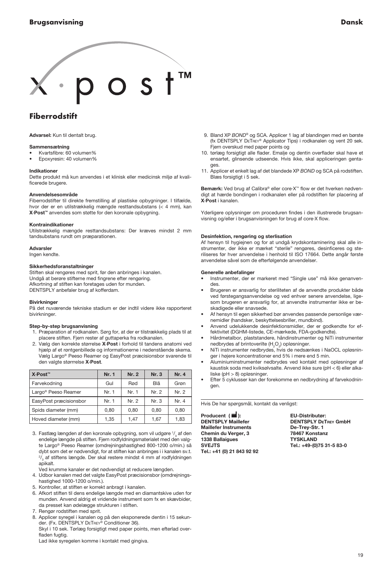# <span id="page-18-0"></span> $o s t$

## **Fiberrodstift**

Advarsel: Kun til dentalt brug.

#### Sammensætning

- Kvartsfibre: 60 volumen%
- Epoxyresin: 40 volumen%

#### Indikationer

Dette produkt må kun anvendes i et klinisk eller medicinsk miljø af kvalificerede brugere.

#### Anvendelsesområde

Fiberrodstifter til direkte fremstilling af plastiske opbygninger. I tilfælde, hvor der er en utilstrækkelig mængde resttandsubstans (< 4 mm), kan X·Post™ anvendes som støtte for den koronale opbygning.

#### Kontraindikationer

Utilstrækkelig mængde resttandsubstans: Der kræves mindst 2 mm tandsubstans rundt om præparationen.

#### Advarsler

Ingen kendte.

#### Sikkerhedsforanstaltninger

Stiften skal rengøres med sprit, før den anbringes i kanalen. Undgå at berøre stifterne med fingrene efter rengøring. Afkortning af stiften kan foretages uden for munden. DENTSPLY anbefaler brug af kofferdam.

#### Bivirkninger

På det nuværende tekniske stadium er der indtil videre ikke rapporteret bivirkninger.

#### Step-by-step brugsanvisning

- 1. Præparation af rodkanalen. Sørg for, at der er tilstrækkelig plads til at placere stiften. Fjern rester af guttaperka fra rodkanalen.
- 2. Vælg den korrekte størrelse X·Post i forhold til tandens anatomi ved hjælp af et røntgenbillede og informationerne i nedenstående skema. Vælg Largo® Peeso Reamer og EasyPost præcisionsbor svarende til den valgte størrrelse X·Post.

| X∙Post <sup>™</sup>             | Nr. 1 | Nr. 2 | Nr. 3 | Nr. 4 |
|---------------------------------|-------|-------|-------|-------|
| Farvekodning                    | Gul   | Rød   | Blå   | Grøn  |
| Largo <sup>®</sup> Peeso Reamer | Nr. 1 | Nr. 1 | Nr. 2 | Nr. 2 |
| EasyPost præcisionsbor          | Nr. 1 | Nr. 2 | Nr. 3 | Nr. 4 |
| Spids diameter (mm)             | 0.80  | 0.80  | 0.80  | 0.80  |
| Hoved diameter (mm)             | 1.35  | 1.47  | 1.67  | 1,83  |

- 3. Fastlæg længden af den koronale opbygning, som vil udgøre 1/3 af den endelige længde på stiften. Fjern rodfyldningsmaterialet med den valgte Largo® Peeso Reamer (omdrejningshastighed 800-1200 o/min.) så dybt som det er nødvendigt, for at stiften kan anbringes i i kanalen sv.t.  $^{2}/_{3}$  af stiftens længde. Der skal restere mindst 4 mm af rodfyldningen apikalt.
- Ved krumme kanaler er det nødvendigt at reducere længden. 4. Udbor kanalen med det valgte EasyPost præcisionsbor (omdrejnings-
- hastighed 1000-1200 o/min.). 5. Kontroller, at stiften er korrekt anbragt i kanalen.
- 
- 6. Afkort stiften til dens endelige længde med en diamantskive uden for munden. Anvend aldrig et vridende instrument som fx en skævbider, da presset kan ødelægge strukturen i stiften.
- Rengør rodstiften med sprit.
- 8. Applicer syregel i kanalen og på den eksponerede dentin i 15 sekunder. (Fx. DENTSPLY DETREY® Conditioner 36).

 Skyl i 10 sek. Tørlæg forsigtigt med paper points, men efterlad overfladen fugtig.

Lad ikke syregelen komme i kontakt med gingiva.

- 9. Bland XP *Bond®* og SCA. Applicer 1 lag af blandingen med en børste (fx Dentsply DeTrey® Applicator Tips) i rodkanalen og vent 20 sek. Fjern overskud med paper points og
- 10. tørlæg forsigtigt alle flader. Emalje og dentin overflader skal have et ensartet, glinsende udseende. Hvis ikke, skal appliceringen gentages.
- 11. Applicer et enkelt lag af det blandede XP *Bond* og SCA på rodstiften. Blæs forsigtigt i 5 sek.

Bemærk: Ved brug af Calibra® eller core·X*™* flow er det hverken nødvendigt at hærde bondingen i rodkanalen eller på rodstiften før placering af X·Post i kanalen.

Yderligere oplysninger om proceduren findes i den illustrerede brugsanvisning og/eller i brugsanvisningen for brug af core·X flow.

#### Desinfektion, rengøring og sterlisation

Af hensyn til hygiejnen og for at undgå krydskontaminering skal alle instrumenter, der ikke er mærket "sterile" rengøres, desinficeres og steriliseres før hver anvendelse i henhold til ISO 17664. Dette angår første anvendelse såvel som de efterfølgende anvendelser.

#### Generelle anbefalinger

- Instrumenter, der er markeret med "Single use" må ikke genanvendes.
- Brugeren er ansvarlig for steriliteten af de anvendte produkter både ved førstegangsanvendelse og ved enhver senere anvendelse, ligesom brugeren er ansvarlig for, at anvendte instrumenter ikke er beskadigede eller snavsede.
- Af hensyn til egen sikkerhed bør anvendes passende personlige værnemidler (handsker, beskyttelsesbriller, mundbind).
- Anvend udelukkende desinfektionsmidler, der er godkendte for effektivitet (DGHM-listede, CE-mærkede, FDA-godkendte).
- Hårdmetalbor, plaststandere, håndinstrumenter og NiTi instrumenter nedbrydes af brintoverilte  $(H_2O_2)$  opløsninger.
- NiTi instrumenter nedbrydes, hvis de nedsænkes i NaOCL opløsninger i højere koncentrationer end 5% i mere end 5 min.
- Aluminiuminstrumenter nedbrydes ved kontakt med opløsninger af kaustisk soda med kviksølvsalte. Anvend ikke sure (pH < 6) eller alkaliske (pH > 8) opløsninger.
- Efter 5 cyklusser kan der forekomme en nedbrydning af farvekodningen.

Hvis De har spørgsmål, kontakt da venligst:

Producent ( ): EU-**Distributør: Maillefer Instruments** Chemin du Verger, 3 78467 Konstanz<br>1338 Ballaigues 6 7YSKLAND 1338 Ballaigues<br>SVEJTS Tel.: +41 (0) 21 843 92 92

DENTSPLY DETREY GmbH<br>De-Trey-Str. 1 **Svejts** Tel.: +49-(0)75 31-5 83-0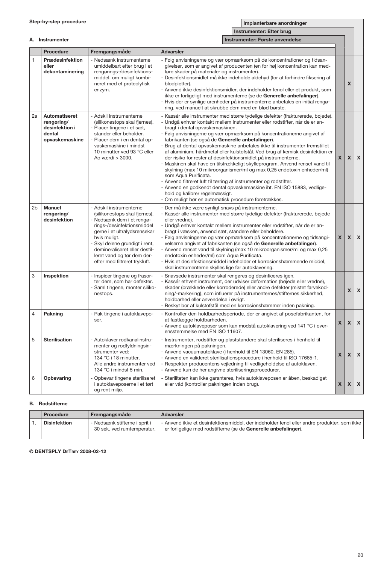| and the state of the state of the state of |                          |  |  |
|--------------------------------------------|--------------------------|--|--|
|                                            | Instrumenter: Efter brug |  |  |
|                                            |                          |  |  |

|                | A. Instrumenter<br>Instrumenter: Første anvendelse                        |                                                                                                                                                                                                                                                                                                       |                                                                                                                                                                                                       |                                                                                                                                                                                                                                                                                                                                                                                                                                                                                                                                                                                                                                                                                                                                                                                  |                           |                           |   |
|----------------|---------------------------------------------------------------------------|-------------------------------------------------------------------------------------------------------------------------------------------------------------------------------------------------------------------------------------------------------------------------------------------------------|-------------------------------------------------------------------------------------------------------------------------------------------------------------------------------------------------------|----------------------------------------------------------------------------------------------------------------------------------------------------------------------------------------------------------------------------------------------------------------------------------------------------------------------------------------------------------------------------------------------------------------------------------------------------------------------------------------------------------------------------------------------------------------------------------------------------------------------------------------------------------------------------------------------------------------------------------------------------------------------------------|---------------------------|---------------------------|---|
|                | Procedure                                                                 | Fremgangsmåde                                                                                                                                                                                                                                                                                         | <b>Advarsler</b>                                                                                                                                                                                      |                                                                                                                                                                                                                                                                                                                                                                                                                                                                                                                                                                                                                                                                                                                                                                                  |                           |                           |   |
| $\mathbf{1}$   | Prædesinfektion<br>eller<br>dekontaminering                               | - Nedsænk instrumenterne<br>umiddelbart efter brug i et<br>rengørings-/desinfektions-<br>middel, om muligt kombi-<br>neret med et proteolytisk<br>enzym.                                                                                                                                              | føre skader på materialer og instrumenter).<br>blodpletter).                                                                                                                                          | - Følg anvisningerne og vær opmærksom på de koncentrationer og tidsan-<br>givelser, som er angivet af producenten (en for høj koncentration kan med-<br>- Desinfektionsmidlet må ikke indeholde aldehyd (for at forhindre fiksering af<br>- Anvend ikke desinfektionsmidler, der indeholder fenol eller et produkt, som<br>ikke er forligeligt med instrumenterne (se de Generelle anbefalinger).<br>- Hvis der er synlige urenheder på instrumenterne anbefales en initial rengø-<br>ring, ved manuelt at skrubbe dem med en blød børste.                                                                                                                                                                                                                                       |                           | X                         |   |
| 2a             | Automatiseret<br>rengøring/<br>desinfektion i<br>dental<br>opvaskemaskine | - Adskil instrumenterne<br>(silikonestops skal fjernes).<br>Placer tingene i et sæt,<br>stander eller beholder.<br>- Placer dem i en dental op-<br>vaskemaskine i mindst<br>10 minutter ved 93 °C eller<br>Ao værdi > 3000.                                                                           | bragt i dental opvaskemaskinen.<br>fabrikanten (se også de Generelle anbefalinger).<br>som Aqua Purificata.<br>hold og kalibrer regelmæssigt.<br>- Om muligt bør en automatisk procedure foretrækkes. | - Kassér alle instrumenter med større tydelige defekter (frakturerede, bøjede).<br>- Undgå enhver kontakt mellem instrumenter eller rodstifter, når de er an-<br>- Følg anvisningerne og vær opmærksom på koncentrationerne angivet af<br>Brug af dental opvaskemaskine anbefales ikke til instrumenter fremstillet<br>af aluminium, hårdmetal eller kulstofstål. Ved brug af kemisk desinfektion er<br>der risiko for rester af desinfektionsmidlet på instrumenterne.<br>- Maskinen skal have en tilstrækkeligt skylleprogram. Anvend renset vand til<br>skylning (max 10 mikroorganismer/ml og max 0,25 endotoxin enheder/ml)<br>- Anvend filtreret luft til tørring af instrumenter og rodstifter.<br>- Anvend en godkendt dental opvaskemaskine iht. EN ISO 15883, vedlige- | $\boldsymbol{\mathsf{x}}$ | X                         | X |
| 2 <sub>b</sub> | <b>Manuel</b><br>rengøring/<br>desinfektion                               | - Adskil instrumenterne<br>(silikonestops skal fjernes).<br>- Nedsænk dem i et rengø-<br>rings-/desinfektionsmiddel<br>gerne i et ultralydsrensekar<br>hvis muligt.<br>- Skyl delene grundigt i rent,<br>demineraliseret eller destil-<br>leret vand og tør dem der-<br>efter med filtreret trykluft. | - Der må ikke være synligt snavs på instrumenterne.<br>eller vredne).<br>endotoxin enheder/ml) som Aqua Purificata.<br>skal instrumenterne skylles lige før autoklavering.                            | - Kassér alle instrumenter med større tydelige defekter (frakturerede, bøjede<br>- Undgå enhver kontakt mellem instrumenter eller rodstifter, når de er an-<br>bragt i væsken, anvend sæt, standere eller beholdere.<br>- Følg anvisningerne og vær opmærksom på koncentrationerne og tidsangi-<br>velserne angivet af fabrikanten (se også de Generelle anbefalinger).<br>- Anvend renset vand til skylning (max 10 mikroorganismer/ml og max 0,25<br>- Hvis et desinfektionsmiddel indeholder et korrosionshæmmende middel,                                                                                                                                                                                                                                                    | $\boldsymbol{\mathsf{x}}$ | $\boldsymbol{\mathsf{x}}$ | X |
| 3              | Inspektion                                                                | - Inspicer tingene og frasor-<br>ter dem, som har defekter.<br>- Saml tingene, monter siliko-<br>nestops.                                                                                                                                                                                             | holdbarhed eller anvendelse i øvrigt.                                                                                                                                                                 | Snavsede instrumenter skal rengøres og desinficeres igen.<br>- Kassér ethvert instrument, der udviser deformation (bøjede eller vredne),<br>skader (brækkede eller korroderede) eller andre defekter (mistet farvekod-<br>ning/-markering), som influerer på instrumenternes/stifternes sikkerhed,<br>- Beskyt bor af kulstofstål med en korrosionshæmmer inden pakning.                                                                                                                                                                                                                                                                                                                                                                                                         |                           | X                         | X |
| $\overline{4}$ | Pakning                                                                   | - Pak tingene i autoklavepo-<br>ser.                                                                                                                                                                                                                                                                  | at fastlægge holdbarheden.<br>ensstemmelse med EN ISO 11607.                                                                                                                                          | Kontroller den holdbarhedsperiode, der er angivet af posefabrikanten, for<br>- Anvend autoklaveposer som kan modstå autoklavering ved 141 °C i over-                                                                                                                                                                                                                                                                                                                                                                                                                                                                                                                                                                                                                             | X                         | X                         | X |
| 5              | <b>Sterilisation</b>                                                      | - Autoklaver rodkanalinstru-<br>menter og rodfyldningsin-<br>strumenter ved:<br>134 °C i 18 minutter.<br>Alle andre instrumenter ved<br>134 °C i mindst 5 min.                                                                                                                                        | mærkningen på pakningen.<br>- Anvend kun de her angivne steriliseringsprocedurer.                                                                                                                     | - Instrumenter, rodstifter og plaststandere skal steriliseres i henhold til<br>- Anvend vacuumautoklave (i henhold til EN 13060, EN 285).<br>- Anvend en valideret sterilisationsprocedure i henhold til ISO 17665-1.<br>- Respekter producentens vejledning til vedligeholdelse af autoklaven.                                                                                                                                                                                                                                                                                                                                                                                                                                                                                  | $\boldsymbol{\mathsf{x}}$ | X                         | X |
| 6              | Opbevaring                                                                | - Opbevar tingene steriliseret<br>i autoklaveposerne i et tørt<br>og rent miljø.                                                                                                                                                                                                                      | eller våd (kontroller pakningen inden brug).                                                                                                                                                          | Steriliteten kan ikke garanteres, hvis autoklaveposen er åben, beskadiget                                                                                                                                                                                                                                                                                                                                                                                                                                                                                                                                                                                                                                                                                                        | X                         | X                         | X |

#### B. Rodstifterne

|  | Procedure           | Fremgangsmåde                                               | Advarsler                                                                                                                                                     |
|--|---------------------|-------------------------------------------------------------|---------------------------------------------------------------------------------------------------------------------------------------------------------------|
|  | <b>Disinfektion</b> | - Nedsænk stifterne i sprit i<br>30 sek, ved rumtemperatur. | - Anvend ikke et desinfektionsmiddel, der indeholder fenol eller andre produkter, som ikke<br>er forligelige med rodstifterne (se de Generelle anbefalinger). |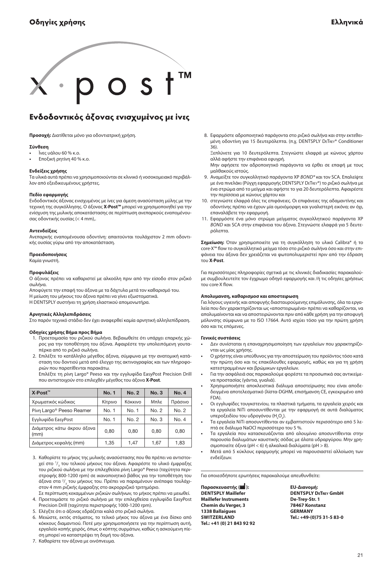<span id="page-20-0"></span>

## Ενδοδοντικός άξονας ενισχυμένος με ίνες

**Προσοχή:** Διατίθεται μόνο για οδοντιατρική χρήση.

#### **Σύνθεση**

- **•** Ϊνες υάλου 60 % κ.ο.
- **•** Εποξική ρητίνη 40 % κ.ο.

#### **Ενδείξεις χρήσης**

Τα υλικά αυτά πρέπει να χρησιμοποιούνται σε κλινικό ή νοσοκομειακό περιβάλλον από εξειδικευμένους χρήστες.

#### **Πεδίο εφαρμογής**

Ενδοδοντικός άξονας ενισχυμένος με ίνες για άμεση ανασύσταση μύλης με την τεχνική της συγκόλλησης. Ο άξονας **X·Post™** μπορεί να χρησιμοποιηθεί για την ενίσχυση της μυλικής αποκατάστασης σε περίπτωση ανεπαρκούς εναπομένουσας οδοντικής ουσίας (< 4 mm),.

#### **Αντενδείξεις**

Ανεπαρκής εναπομένουσα οδοντίνη: απαιτούνται τουλάχιστον 2 mm οδοντικής ουσίας γύρω από την αποκατάσταση.

#### **Προειδοποιήσεις**

Καμία γνωστή.

#### **Προφυλάξεις**

Ο άξονας πρέπει να καθαριστεί με αλκοόλη πριν από την είσοδο στον ριζικό σωλήνα.

Αποφύγετε την επαφή του άξονα με τα δάχτυλα μετά τον καθαρισμό του. Η μείωση του μήκους του άξονα πρέπει να γίνει εξωστοματικά.

Η Dentsply συστήνει τη χρήση ελαστικού απομονωτήρα.

#### **Αρνητικές Αλληλεπιδράσεις**

Στο παρόν τεχνικό στάδιο δεν έχει αναφερθεί καμία αρνητική αλληλεπίδραση.

#### **Οδηγίες χρήσης Βήμα προς Βήμα**

- 1. Προετοιμασία του ριζικού σωλήνα. Βεβαιωθείτε ότι υπάρχει επαρκής χώρος για την τοποθέτηση του άξονα. Αφαιρέστε την υπολειπόμενη γουταπέρκα από το ριζικό σωλήνα.
- 2. Επιλέξτε το κατάλληλο μέγεθος άξονα, σύμφωνα με την ανατομική κατάσταση του δοντιού μετά από έλεγχο της ακτινογραφίας και των πληροφοριών που παρατίθενται παρακάτω.

 Επιλέξτε τη ρίνη Largo® Peeso και την εγγλυφίδα EasyPost Precision Drill που αντιστοιχούν στο επιλεχθέν μέγεθος του άξονα **X·Post**.

| X∙Post™                              | <b>No. 1</b> | <b>No. 2</b> | No. 3 | <b>No. 4</b> |
|--------------------------------------|--------------|--------------|-------|--------------|
| Χρωματικός κώδικας                   | Κίτρινο      | Κόκκινο      | Μπλε  | Πράσινο      |
| Pivn Largo <sup>®</sup> Peeso Reamer | No. 1        | No. 1        | No. 2 | No. 2        |
| Εγγλυφίδα EasyPost                   | No. 1        | No. 2        | No. 3 | No. 4        |
| Διάμετρος κάτω άκρου άξονα<br>(mm)   | 0.80         | 0,80         | 0,80  | 0.80         |
| Διάμετρος κεφαλής (mm)               | 1.35         | 1,47         | 1,67  | 1,83         |

- 3. Καθορίστε το μήκος της μυλικής ανασύστασης που θα πρέπει να αντιστοιχεί στο 1/<sub>3</sub> του τελικού μήκους του άξονα. Αφαιρέστε το υλικό έμφραξης του ριζικού σωλήνα με την επιλεχθείσα ρίνη Largo® Peeso (ταχύτητα περιστροφής 800-1200 rpm) σε ικανοποιητικό βάθος για την τοποθέτηση του άξονα στα <sup>2</sup>/<sub>3</sub> του μήκους του. Πρέπει να παραμένουν ανέπαφα τουλάχιστον 4 mm ριζικής έμφραξης στο ακρορριζικό τριτημόριο.
- Σε περίπτωση κεκαμμένων ριζικών σωλήνων, το μήκος πρέπει να μειωθεί. 4. Προετοιμάστε το ριζικό σωλήνα με την επιλεχθείσα εγγλυφίδα EasyPost Precision Drill (ταχύτητα περιστροφής 1000-1200 rpm).
- 5. Ελέγξτε ότι ο άξονας εδράζεται καλά στο ριζικό σωλήνα.
- 6. Μειώστε, εκτός στόματος, το τελικό μήκος του άξονα με ένα δίσκο από κόκκους διαμαντιού. Ποτέ μην χρησιμοποιήσετε για την περίπτωση αυτή, εργαλείο κοπής χειρός, όπως ο κόπτης συρμάτων, καθώς η ασκούμενη πίεση μπορεί να καταστρέψει τη δομή του άξονα.
- 7. Καθαρίστε τον άξονα με οινόπνευμα.

8. Εφαρμόστε αδροποιητικό παράγοντα στο ριζικό σωλήνα και στην εκτεθειμένη οδοντίνη για 15 δευτερόλεπτα. (π.χ. Dentsply DeTrey® Conditioner 36).

 Ξεπλύνετε για 10 δευτερόλεπτα. Στεγνώστε ελαφρά με κώνους χάρτου αλλά αφήστε την επιφάνεια εφυγρή.

 Μην αφήσετε τον αδροποιητικό παράγοντα να έρθει σε επαφή με τους μαλθακούς ιστούς.

- 9. Αναμείξτε τον συγκολλητικό παράγοντα XP *Bond®* και τον SCA. Επαλείψτε με ένα πινελάκι (Ρύγχη εφαρμογής Dentsply DeTrey®) το ριζικό σωλήνα με ένα στρώμα από το μείγμα και αφήστε το για 20 δευτερόλεπτα. Αφαιρέστε την περίσσεια με κώνους χάρτου και
- 10. στεγνώστε ελαφρά όλες τις επιφάνειες. Οι επιφάνειες της αδαμαντίνης και οδοντίνης πρέπει να έχουν μία ομοιόμορφη και γυαλιστερή εικόνα; αν όχι, επαναλάβετε την εφαρμογή.
- 11. Εφαρμόστε ένα μόνο στρώμα μείγματος συγκολλητικού παράγοντα XP *Bond* και SCA στην επιφάνεια του άξονα. Στεγνώστε ελαφρά για 5 δευτερόλεπτα.

**Σημείωση:** Όταν χρησιμοποιείτε για τη συγκόλληση το υλικό Calibra® ή το core·X™ flow το συγκολλητικό μείγμα τόσο στο ριζικό σωλήνα όσο και στην επιφάνεια του άξονα δεν χρειάζεται να φωτοπολυμεριστεί πριν από την έδραση του **X·Post**.

Για περισσότερες πληροφορίες σχετικά με τις κλινικές διαδικασίες παρακαλούμε συμβουλευτείτε τον έγχρωμο οδηγό εφαρμογής και /ή τις οδηγίες χρήσεως του core·X flow.

#### **Απολυμανση, καθαρισμοσ και αποστειρωση**

Για λόγους υγιεινής και αποφυγής διασταυρούμενης επιμόλυνσης, όλα τα εργαλεία που δεν χαρακτηρίζονται ως «αποστειρωμένα» πρέπει να καθαρίζονται, να απολυμαίνονται και να αποστειρώνονται πριν από κάθε χρήση για την αποφυγή μόλυνσης σύμφωνα με το ISO 17664. Αυτό ισχύει τόσο για την πρώτη χρήση όσο και τις επόμενες.

#### **Γενικές συστάσεις**

- **•** Δεν συνίσταται η επαναχρησιμοποίηση των εργαλείων που χαρακτηρίζονται ως μίας χρήσης.
- **•** Ο χρήστης είναι υπεύθυνος για την αποστείρωση του προϊόντος τόσο κατά την πρώτη όσο και τις επακόλουθες εφαρμογές, καθώς και για τη χρήση κατεστραμμένων και βρώμικων εργαλείων.
- **•** Για την ασφάλειά σας παρακαλούμε φορέστε τα προσωπικά σας αντικείμενα προστασίας (γάντια, γυαλιά).
- **•** Χρησιμοποιήστε αποκλειστικά διάλυμα αποστείρωσης που είναι αποδεδειγμένα αποτελεσματικό (λίστα-DGHM, επισήμανση CE, εγκεκριμένο από FDA).
- **•** Οι εγγλυφίδες τουγκστενίου, τα πλαστικά τμήματα, τα εργαλεία χειρός και τα εργαλεία NiTi αποσυντίθενται με την εφαρμογή σε αυτά διαλύματος υπεροξειδίου του υδρογόνου (Η<sub>2</sub>Ο<sub>2</sub>).
- **•** Τα εργαλεία NiTi αποσυντίθενται αν εμβαπτιστούν περισσότερο από 5 λεπτά σε διάλυμα NaOCl περισσότερο του 5 %.
- **•** Τα εργαλεία που κατασκευάζονται από αλουμίνιο αποσυντίθενται στην παρουσία διαλυμάτων καυστικής σόδας με άλατα υδραργύρου. Μην χρησιμοποιείτε όξινα (pH < 6) ή αλκαλικά διαλύματα (pH > 8).
- **•** Μετά από 5 κύκλους εφαρμογής μπορεί να παρουσιαστεί αλλοίωση των ενδείξεων.

Για οποιεσδήποτε ερωτήσεις παρακαλούμε απευθυνθείτε:

**Παρασκευαστής ( ): EU-Διανομή: Maillefer Instruments De-Trey-Str. 1 Chemin du Verger, 3 1338 Ballaigues GERMANY Tel.: +41 (0) 21 843 92 92**

**Dentsply Maillefer Dentsply DeTrey GmbH Switzerland Tel.: +49-(0)75 31-5 83-0**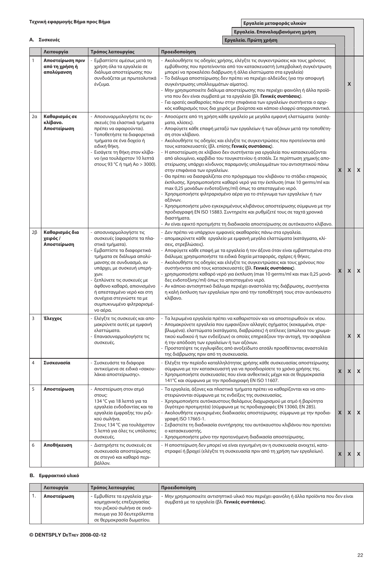A. **Συσκευές**

**Εργαλεία. Επαναλαμβανόμενη χρήση Εργαλεία. Πρώτη χρήση**

|                | Λειτουργία                                       | Τρόπος λειτουργίας                                                                                                                                                                                                                                                                                                                                                 | Προειδοποίηση                                                                                                                                                                                                                                                                                                                                                                                                                                                                                                                                                                                                                                                                                                                                                                                                                                                                                                                                                                                                                                                                                                                                                                       |                           |                    |                    |
|----------------|--------------------------------------------------|--------------------------------------------------------------------------------------------------------------------------------------------------------------------------------------------------------------------------------------------------------------------------------------------------------------------------------------------------------------------|-------------------------------------------------------------------------------------------------------------------------------------------------------------------------------------------------------------------------------------------------------------------------------------------------------------------------------------------------------------------------------------------------------------------------------------------------------------------------------------------------------------------------------------------------------------------------------------------------------------------------------------------------------------------------------------------------------------------------------------------------------------------------------------------------------------------------------------------------------------------------------------------------------------------------------------------------------------------------------------------------------------------------------------------------------------------------------------------------------------------------------------------------------------------------------------|---------------------------|--------------------|--------------------|
| $\mathbf{1}$   | Αποστείρωση πριν<br>από τη χρήση ή<br>απολύμανση | - Εμβαπτίστε αμέσως μετά τη<br>χρήση όλα τα εργαλεία σε<br>διάλυμα αποστείρωσης που<br>συνδυάζεται με πρωτεολυτικά<br>ένζυμα.                                                                                                                                                                                                                                      | - Ακολουθήστε τις οδηγίες χρήσης, ελέγξτε τις συγκεντρώσεις και τους χρόνους<br>εμβύθινσης που προτείνονται από τον κατασκευαστή (υπερβολική συγκέντρωση<br>μπορεί να προκαλέσει διάβρωση ή άλλα ελαττώματα στα εργαλεία)<br>Το διάλυμα αποστείρωσης δεν πρέπει να περιέχει αλδεϋδες (για την αποφυγή<br>συγκέντρωσης υπολλειμμάτων αίματος).<br>Μην χρησιμοποιείτε διάλυμα αποστείρωσης που περιέχει φαινόλη ή άλλα προϊό-<br>ντα που δεν είναι συμβατά με τα εργαλεία (βλ. Γενικές συστάσεις).<br>Για ορατές ακαθαρσίες πάνω στην επιφάνεια των εργαλείων συστήνεται ο αρχι-<br>κός καθαρισμός τους δια χειρός με βούρτσα και κάποιο ελαφρύ απορρυπαντικό.                                                                                                                                                                                                                                                                                                                                                                                                                                                                                                                        |                           | $\pmb{\mathsf{X}}$ |                    |
| 2a             | Καθαρισμός σε<br>κλίβανο.<br>Αποστείρωση         | - Αποσυναρμολογήστε τις συ-<br>σκευές (τα ελαστικά τμήματα<br>πρέπει να αφαιρούνται).<br>- Τοποθετήστε τα διαφορετικά<br>τμήματα σε ένα δοχείο ή<br>ειδική θήκη.<br>- Εισάγετε τη θήκη στον κλίβα-<br>νο (για τουλάχιστον 10 λεπτά<br>στους 93 °C ή τιμή Ao > 3000).                                                                                               | Αποσύρετε από τη χρήση κάθε εργαλείο με μεγάλα εμφανή ελαττώματα (κατάγ-<br>ματα, κλίσεις).<br>Αποφύγετε κάθε επαφή μεταξύ των εργαλείων ή των αξόνων μετά την τοποθέτη-<br>ση στον κλίβανο.<br>- Ακολουθήστε τις οδηγίες και ελέγξτε τις συγκεντρώσεις που προτείνονται από<br>τους κατασκευαστές (βλ. επίσης <b>Γενικές συστάσεις</b> ).<br>Η αποστείρωση σε κλίβανο δεν συστήνεται για εργαλεία που κατασκευάζονται<br>από αλουμίνιο, καρβίδιο του τουγκστενίου ή ατσάλι. Σε περίπτωση χημικής απο-<br>στείρωσης υπάρχει κίνδυνος παραμονής υπολειμμάτων του αντισηπτικού πάνω<br>στην επιφάνεια των εργαλείων.<br>Θα πρέπει να διασφαλίζεται στο πρόγραμμα του κλιβάνου το στάδιο επαρκούς<br>έκπλυσης. Χρησιμοποιήστε καθαρό νερό για την έκπλυση (max 10 germs/ml και<br>max 0,25 μονάδων ενδοτοξίνης/ml) όπως το απεσταγμένο νερό.<br>Χρησιμοποιήστε φιλτραρισμένο αέρα για το στέγνωμα των εργαλείων ή των<br>αξόνων.<br>Χρησιμοποιήστε μόνο εγκεκριμένους κλιβάνους αποστείρωσης σύμφωνα με την<br>προδιαγραφή EN ISO 15883. Συντηρείτε και ρυθμίζετέ τους σε ταχτά χρονικά<br>διαστήματα.<br>Αν είναι εφικτό προτιμήστε τη διαδικασία αποστείρωσης σε αυτόκαυστο κλίβανο. | X                         | X                  | $\pmb{\mathsf{x}}$ |
| $2\beta$       | Καθαρισμός δια<br>χειρός /<br>Αποστείρωση        | - αποσυναρμολογήστε τις<br>συσκευές (αφαιρέστε τα πλα-<br>στικά τμήματα).<br>Εμβαπτίστε τα διαφορετικά<br>τμήματα σε διάλυμα απολύ-<br>μανσης σε συνδυασμό, αν<br>υπάρχει, με συσκευή υπερή-<br>χων.<br>ξεπλύνετε τις συσκευές με<br>άφθονο καθαρό, απιονισμένο<br>ή απεσταγμένο νερό και στη<br>συνέχεια στεγνώστε τα με<br>συμπυκνωμένο φιλτραρισμέ-<br>νο αέρα. | - Δεν πρέπει να υπάρχουν εμφανείς ακαθαρσίες πάνω στα εργαλεία.<br>- απομακρύνετε κάθε εργαλείο με εμφανή μεγάλα ελαττώματα (κατάγματα, κλί-<br>σεις, στρεβλώσεις).<br>Αποφύγετε κάθε επαφή με τα εργαλεία ή τον άξονα όταν είναι εμβαπτισμένα στο<br>διάλυμα; χρησιμοποιήστε τα ειδικά δοχεία μεταφοράς, σχάρες ή θήκες.<br>Ακολουθήστε τις οδηγίες και ελέγξτε τις συγκεντρώσεις και τους χρόνους που<br>συστήνονται από τους κατασκευαστές (βλ. Γενικές συστάσεις).<br>χρησιμοποιήστε καθαρό νερό για έκπλυση (max 10 germs/ml και max 0,25 μονά-<br>δες ενδοτοξίνης/ml) όπως το απεσταγμένο νερό.<br>Αν κάποιο αντισηπτικό διάλυμα περιέχει αναστολέα της διάβρωσης, συστήνεται<br>η καλή έκπλυση των εργαλείων πριν από την τοποθέτησή τους στον αυτόκαυστο<br>κλίβανο.                                                                                                                                                                                                                                                                                                                                                                                                        | X                         | X                  | $\pmb{\mathsf{x}}$ |
| 3              | Έλεγχος                                          | - Ελέγξτε τις συσκευές και απο-<br>μακρύνετε αυτές με εμφανή<br>ελαττώματα.<br>Επανασυναρμολογήστε τις<br>συσκευές.                                                                                                                                                                                                                                                | - Τα λερωμένα εργαλεία πρέπει να καθαριστούν και να αποστειρωθούν εκ νέου.<br>Απομακρύνετε εργαλεία που εμφανίζουν αλλαγές σχήματος (κεκαμμένα, στρε-<br>βλωμένα). ελαττώματα (κατάγματα, διαβρώσεις) ή ατέλειες (απώλεια του χρωμα-<br>τικού κωδικού ή των ενδείξεων) οι οποίες επηρεάζουν την αντοχή, την ασφάλεια<br>ή την απόδοση των εργαλείων ή των αξόνων.<br>Προστατέψτε τις εγγλυφίδες από ανοξείδωτο ατσάλι προσθέτοντας αναστολέα<br>της διάβρωσης πριν από τη συσκευασία.                                                                                                                                                                                                                                                                                                                                                                                                                                                                                                                                                                                                                                                                                               |                           | $\mathsf{x}$       | $\pmb{\chi}$       |
| $\overline{4}$ | Συσκευασία                                       | Συσκευάστε τα διάφορα<br>αντικείμενα σε ειδικά «σακου-<br>λάκια αποστείρωσης».                                                                                                                                                                                                                                                                                     | Ελέγξτε την περίοδο καταλληλότητας χρήσης κάθε συσκευασίας αποστείρωσης<br>σύμφωνα με τον κατασκευαστή για να προσδιορίσετε το χρόνο χρήσης της.<br>Χρησιμοποιήστε συσκευασίες που είναι ανθεκτικές μέχρι και σε θερμοκρασία<br>141°C και σύμφωνα με την προδιαγραφή EN ISO 11607.                                                                                                                                                                                                                                                                                                                                                                                                                                                                                                                                                                                                                                                                                                                                                                                                                                                                                                  | X                         | X                  | $\pmb{\mathsf{x}}$ |
| 5              | Αποστείρωση                                      | - Αποστείρωση στον ατμό<br>στους:<br>134 °C για 18 λεπτά για τα<br>εργαλεία ενδοδοντίας και τα<br>εργαλεία έμφραξης του ριζι-<br>κού σωλήνα.<br>Στους 134 ° Cγια τουλάχιστον<br>5 λεπτά για όλες τις υπόλοιπες<br>συσκευές.                                                                                                                                        | - Τα εργαλεία, άξονες και πλαστικά τμήματα πρέπει να καθαρίζονται και να απο-<br>στειρώνονται σύμφωνα με τις ενδείξεις της συσκευασίας.<br>Χρησιμοποιήστε αυτόκαυστους θαλάμους διαχωρισμού με ατμό ή βαρύτητα<br>(λιγότερο προτιμητέα) (σύμφωνα με τις προδιαγραφές EN 13060, EN 285).<br>Ακολουθήστε εγκεκριμένες διαδικασίες αποστείρωσης σύμφωνα με την προδια-<br>γραφή ISO 17665-1.<br>- Σεβαστείτε τη διαδικασία συντήρησης του αυτόκαυστου κλιβάνου που προτείνει<br>ο κατασκευαστής.<br>- Χρησιμοποιήστε μόνο την προτεινόμενη διαδικασία αποστείρωσης.                                                                                                                                                                                                                                                                                                                                                                                                                                                                                                                                                                                                                    | $\boldsymbol{\mathsf{x}}$ | X                  | $\pmb{\mathsf{x}}$ |
| 6              | Αποθήκευση                                       | - Διατηρήστε τις συσκευές σε<br>συσκευασία αποστείρωσης<br>σε στεγνό και καθαρό περι-<br>βάλλον.                                                                                                                                                                                                                                                                   | - Η αποστείρωση δεν μπορεί να είναι εγγυημένη αν η συσκευασία ανοιχτεί, κατα-<br>στραφεί ή βραχεί (ελέγξτε τη συσκευασία πριν από τη χρήση των εργαλείων).                                                                                                                                                                                                                                                                                                                                                                                                                                                                                                                                                                                                                                                                                                                                                                                                                                                                                                                                                                                                                          | $\mathsf{x}$              | X                  | $\pmb{\mathsf{x}}$ |

#### B. **Εμφρακτικό υλικό**

| Λειτουργία  | Τρόπος λειτουργίας                                                                                                                                 | Προειδοποίηση                                                                                                                                |
|-------------|----------------------------------------------------------------------------------------------------------------------------------------------------|----------------------------------------------------------------------------------------------------------------------------------------------|
| Αποστείρωση | - Εμβυθίστε τα εργαλεία χημι-<br>κομηχανικής επεξεργασίας<br>του ριζικού σωλήνα σε οινό-<br>πνευμα για 30 δευτερόλεπτα<br>σε θερμοκρασία δωματίου. | - Μην χρησιμοποιείτε αντισηπτικό υλικό που περιέχει φαινόλη ή άλλα προϊόντα που δεν είναι<br>συμβατά με τα εργαλεία (βλ. Γενικές συστάσεις). |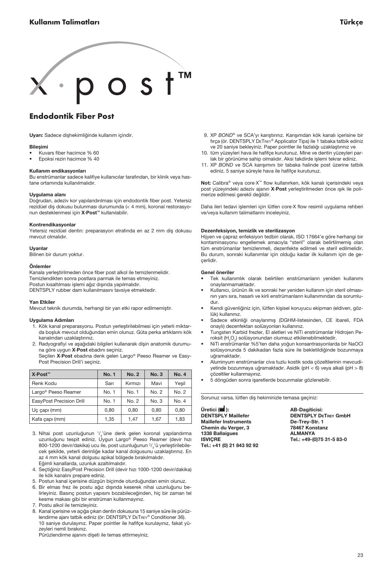<span id="page-22-0"></span>

## Endodontik Fiber Post

Uyarı: Sadece dişhekimliğinde kullanım içindir.

#### Bileşimi

- Kuvars fiber hacimce % 60
- Epoksi rezin hacimce % 40

#### Kullanım endikasyonları

Bu enstrümanlar sadece kalifiye kullanıcılar tarafından, bir klinik veya hastane ortamında kullanılmalıdır.

#### Uygulama alanı

Doğrudan, adeziv kor yapılandırılması için endodontik fiber post. Yetersiz rezidüel diş dokusu bulunması durumunda (< 4 mm), koronal restorasyonun desteklenmesi için X·Post™ kullanılabilir.

#### Kontrendikasyonlar

Yetersiz rezidüel dentin: preparasyon etrafında en az 2 mm diş dokusu mevcut olmalıdır.

#### Uyarılar

Bilinen bir durum yoktur.

#### Önlemler

Kanala yerleştirilmeden önce fiber post alkol ile temizlenmelidir. Temizlendikten sonra postlara parmak ile temas etmeyiniz. Postun kısaltılması işlemi ağız dışında yapılmalıdır. DENTSPLY rubber dam kullanılmasını tavsiye etmektedir.

#### Yan Etkiler

Mevcut teknik durumda, herhangi bir yan etki rapor edilmemiştir.

#### Uygulama Adımları

- 1. Kök kanal preparasyonu. Postun yerleştirilebilmesi için yeterli miktarda boşluk mevcut olduğundan emin olunuz. Güta perka artıklarını kök kanalından uzaklaştırınız.
- 2. Radyografiyi ve aşağıdaki bilgileri kullanarak dişin anatomik durumuna göre uygun X·Post ebadını seçiniz.

 Seçilen X·Post ebadına denk gelen Largo® Peeso Reamer ve Easy-Post Precision Drill'i seçiniz.

| X⋅Post <sup>™</sup>             | <b>No. 1</b> | No. 2   | No.3  | <b>No. 4</b> |
|---------------------------------|--------------|---------|-------|--------------|
| Renk Kodu                       | Sarı         | Kırmızı | Mavi  | Yesil        |
| Largo <sup>®</sup> Peeso Reamer | No. 1        | No. 1   | No. 2 | No. 2        |
| EasyPost Precision Drill        | No. 1        | No. 2   | No. 3 | No. 4        |
| Uç çapı (mm)                    | 0.80         | 0.80    | 0.80  | 0.80         |
| Kafa çapı (mm)                  | 1.35         | 1.47    | 1.67  | 1,83         |

- 3. Nihai post uzunluğunun 1/<sub>3</sub>'üne denk gelen koronal yapılandırma uzunluğunu tespit ediniz. Uygun Largo® Peeso Reamer (devir hızı 800-1200 devir/dakika) ucu ile, post uzunluğunun  $\frac{2}{3}$ 'ü yerleştirilebilecek şekilde, yeterli derinliğe kadar kanal dolgusunu uzaklaştırınız. En az 4 mm kök kanal dolgusu apikal bölgede bırakılmalıdır. Eğimli kanallarda, uzunluk azaltılmalıdır.
- 4. Seçtiğiniz EasyPost Precision Drill (devir hızı 1000-1200 devir/dakika) ile kök kanalını prepare ediniz.
- 5. Postun kanal içerisine düzgün biçimde oturduğundan emin olunuz.
- 6. Bir elmas frez ile postu ağız dışında keserek nihai uzunluğunu belirleyiniz. Basınç postun yapısını bozabileceğinden, hiç bir zaman tel kesme makası gibi bir enstrüman kullanmayınız.
- 7. Postu alkol ile temizleyiniz.
- 8. Kanal içerisine ve açığa çıkan dentin dokusuna 15 saniye süre ile pürüzlendirme ajanı tatbik ediniz (ör: DENTSPLY DETREY® Conditioner 36). 10 saniye durulayınız. Paper pointler ile hafifçe kurulayınız, fakat yüzeyleri nemli bırakınız.

Pürüzlendirme ajanını dişeti ile temas ettirmeyiniz.

- 9. XP *Bond®* ve SCA'yı karıştırınız. Karışımdan kök kanalı içerisine bir firça (ör. DENTSPLY DETREY® Applicator Tips) ile 1 tabaka tatbik ediniz ve 20 saniye bekleyiniz. Paper pointler ile fazlalığı uzaklaştırınız ve
- 10. tüm yüzeyleri hava ile hafifçe kurutunuz. Mine ve dentin yüzeyleri parlak bir görünüme sahip olmalıdır. Aksi takdirde işlemi tekrar ediniz.
- 11. XP *Bond* ve SCA karışımını bir tabaka halinde post üzerine tatbik ediniz. 5 saniye süreyle hava ile hafifçe kurutunuz.

Not: Calibra® veya core·X™ flow kullanırken, kök kanalı içerisindeki veya post yüzeyindeki adeziv ajanın X·Post yerleştirilmeden önce ışık ile polimerize edilmesi gerekli değildir.

Daha ileri tedavi işlemleri için lütfen core·X flow resimli uygulama rehberi ve/veya kullanım talimatlarını inceleyiniz.

#### Dezenfeksiyon, temizlik ve sterilizasyon

Hijyen ve çapraz enfeksiyon tedbiri olarak, ISO 17664'e göre herhangi bir kontaminasyonu engellemek amacıyla "steril" olarak belirtilmemiş olan tüm enstrümanlar temizlenmeli, dezenfekte edilmeli ve steril edilmelidir. Bu durum, sonraki kullanımlar için olduğu kadar ilk kullanım için de geçerlidir.

#### Genel öneriler

- Tek kullanımlık olarak belirtilen enstrümanların yeniden kullanımı onaylanmamaktadır.
- Kullanıcı, ürünün ilk ve sonraki her yeniden kullanım için steril olmasının yanı sıra, hasarlı ve kirli enstrümanların kullanımından da sorumludur.
- Kendi güvenliğiniz için, lütfen kişisel koruyucu ekipman (eldiven, gözlük) kullanınız.
- Sadece etkinliği onaylanmış (DGHM-listesinden, CE ibareli, FDA onaylı) dezenfektan solüsyonları kullanınız.
- Tungsten Karbid frezler, El aletleri ve NiTi enstrümanlar Hidrojen Peroksit (H<sub>2</sub>O<sub>2</sub>) solüsyonundan olumsuz etkilenebilmektedir.
- NiTi enstrümanlar %5'ten daha yoğun konsantrasyonlarda bir NaOCl solüsyonunda 5 dakikadan fazla süre ile bekletildiğinde bozunmaya uğramaktadır.
- Aluminyum enstrümanlar civa tuzlu kostik soda çözeltilerinin mevcudiyetinde bozunmaya uğramaktadır. Asidik (pH < 6) veya alkali (pH > 8) çözeltiler kullanmayınız.
- 5 döngüden sonra işaretlerde bozunmalar gözlenebilir.

Sorunuz varsa, lütfen diş hekiminizle temasa geçiniz:

Üretici ( ): AB-Dagiticisi: Maillefer Instruments<br>
Chemin du Verger 3<br>
78467 Konstanz Chemin du Verger, 3 1338 Ballaigues ALMANYA ISVIÇRE Tel.: +49-(0)75 31-5 83-0 Tel.: +41 (0) 21 843 92 92

DENTSPLY DETREY GmbH<br>De-Trey-Str. 1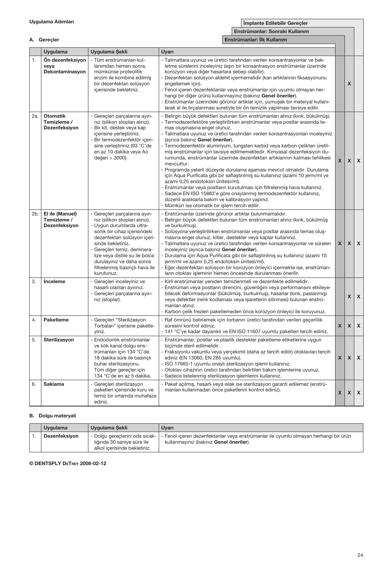#### Uygulama Adımları

1. Ön dezenfeksiyon veya

Dekontaminasyon

Uygulama Uygulama Şekli

A. Gereçler

İmplante Edilebilir Gereçler

X

|                                                                                                                                                              | Implante Edilebilir Gerecler                                                                                                                                                                                                                                                                                                                                                                                                                                                            |  |
|--------------------------------------------------------------------------------------------------------------------------------------------------------------|-----------------------------------------------------------------------------------------------------------------------------------------------------------------------------------------------------------------------------------------------------------------------------------------------------------------------------------------------------------------------------------------------------------------------------------------------------------------------------------------|--|
|                                                                                                                                                              | Enstrümanlar: Sonraki Kullanım                                                                                                                                                                                                                                                                                                                                                                                                                                                          |  |
|                                                                                                                                                              | Enstrümanlar: İlk Kullanım                                                                                                                                                                                                                                                                                                                                                                                                                                                              |  |
| Uygulama Sekli                                                                                                                                               | Uyarı                                                                                                                                                                                                                                                                                                                                                                                                                                                                                   |  |
| - Tüm enstrümanları kul-<br>lanımdan hemen sonra.<br>mümkünse proteolitik<br>enzim ile kombine edilmiş<br>bir dezenfektan solüsyon<br>icerisinde bekletiniz. | - Talimatlara uyunuz ve üretici tarafından verilen konsantrasyonlar ve bek-<br>letme sürelerini inceleyiniz (aşırı bir konsantrasyon enstrümanlar üzerinde<br>korozyon veya diğer hasarlara sebep olabilir).<br>Dezenfektan solüsyon aldehit içermemelidir (kan artıklarının fiksasyonunu<br>$\overline{\phantom{0}}$<br>engellemek için).<br>- Fenol içeren dezenfektanlar veya enstrümanlar için uyumlu olmayan her-<br>hangi bir diğer ürünü kullanmayınız (bakınız Genel öneriler). |  |

|     |                                                 | bir dezenfektan solüsyon<br>içerisinde bekletiniz.                                                                                                                                                                                                                                                                               | engellemek için).<br>- Fenol içeren dezenfektanlar veya enstrümanlar için uyumlu olmayan her-<br>hangi bir diğer ürünü kullanmayınız (bakınız Genel öneriler).<br>- Enstrümanlar üzerindeki görünür artıklar için, yumuşak bir materyal kullanı-<br>larak el ile fırcalanması suretiyle bir ön temizlik yapılması tavsiye edilir.                                                                                                                                                                                                                                                                                                                                                                                                                                                                                                                                                                                                                                                                                                        |              | X            |                           |
|-----|-------------------------------------------------|----------------------------------------------------------------------------------------------------------------------------------------------------------------------------------------------------------------------------------------------------------------------------------------------------------------------------------|------------------------------------------------------------------------------------------------------------------------------------------------------------------------------------------------------------------------------------------------------------------------------------------------------------------------------------------------------------------------------------------------------------------------------------------------------------------------------------------------------------------------------------------------------------------------------------------------------------------------------------------------------------------------------------------------------------------------------------------------------------------------------------------------------------------------------------------------------------------------------------------------------------------------------------------------------------------------------------------------------------------------------------------|--------------|--------------|---------------------------|
| 2a. | <b>Otomatik</b><br>Temizleme /<br>Dezenfeksiyon | - Gereçleri parçalarına ayırı-<br>nız (silikon stopları alınız).<br>- Bir kit, destek veya kap<br>icerisine yerleştiriniz.<br>- Bir termodezenfektör iceri-<br>sine yerleştiriniz (93 °C'de<br>en az 10 dakika veya Ao<br>değeri > 3000).                                                                                        | - Belirgin büyük defektleri bulunan tüm enstrümanları atınız (kırık, bükülmüş).<br>- Termodezenfektöre yerleştirilirken enstrümanlar veya postlar arasında te-<br>mas olusmasına engel olunuz.<br>- Talimatlara uyunuz ve üretici tarafından verilen konsantrasyonları inceleyiniz<br>(ayrıca bakınız Genel öneriler).<br>- Termodezenfektör aluminyum, tungsten karbid veya karbon çelikten üretil-<br>miş enstrümanlar için tavsiye edilmemektedir. Kimyasal dezenfeksiyon du-<br>rumunda, enstrümanlar üzerinde dezenfektan artıklarının kalması tehlikesi<br>mevcuttur.<br>Programda yeterli düzeyde durulama aşaması mevcut olmalıdır. Durulama<br>için Aqua Purificata gibi bir saflaştırılmış su kullanınız (azami 10 jerm/ml ve<br>azami 0,25 endotoksin ünitesi/ml).<br>Enstrümanlar veya postların kurutulması için filtrelenmiş hava kullanınız.<br>Sadece EN ISO 15883'e göre onaylanmış termodezenfektör kullanınız,<br>düzenli aralıklarla bakım ve kalibrasyon yapınız.<br>- Mümkün ise otomatik bir işlem tercih edilir. | $\mathbf{x}$ | X            | $\pmb{\chi}$              |
| 2b. | El ile (Manuel)<br>Temizleme /<br>Dezenfeksiyon | - Gerecleri parcalarına ayırı-<br>nız (silikon stopları alınız).<br>- Uygun durumlarda ultra-<br>sonik bir cihaz içerisindeki<br>dezenfektan solüsyon içeri-<br>sinde bekletiniz.<br>- Gerecleri temiz, deminera-<br>lize veya distile su ile bolca<br>durulayınız ve daha sonra<br>filtrelenmiş basınçlı hava ile<br>kurutunuz. | - Enstrümanlar üzerinde görünür artıklar bulunmamalıdır.<br>Belirgin büyük defektleri bulunan tüm enstrümanları atınız (kırık, bükülmüş<br>ve burkulmus).<br>- Solüsyona yerleştirilirken enstrümanlar veya postlar arasında temas oluş-<br>masına engel olunuz, kitler, destekler veya kaplar kullanınız.<br>- Talimatlara uyunuz ve üretici tarafından verilen konsantrasyonlar ve süreleri<br>inceleyiniz (ayrıca bakınız Genel öneriler).<br>Durulama için Aqua Purificata gibi bir saflaştırılmış su kullanınız (azami 10<br>jerm/ml ve azami 0,25 endotoksin ünitesi/ml).<br>- Eğer dezenfektan solüsyon bir korozyon önleyici içermekte ise, enstrüman-<br>ların otoklav işleminin hemen öncesinde durulanması önerilir.                                                                                                                                                                                                                                                                                                          | $\mathsf{x}$ | <b>X</b>     | $\mathsf{x}$              |
| 3.  | <i><u><b>Inceleme</b></u></i>                   | Gerecleri inceleyiniz ve<br>hasarlı olanları ayırınız.<br>Gereçleri parçalarına ayırı-<br>nız (stoplar).                                                                                                                                                                                                                         | - Kirli enstrümanlar yeniden temizlenmeli ve dezenfekte edilmelidir.<br>- Enstrüman veya postların direncini, güvenliğini veya performansını etkileye-<br>bilecek deformasyonlar (bükülmüş, burkulmuş), hasarlar (kırık, paslanmış)<br>veya defektler (renk kodlaması veya işaretlerin silinmesi) bulunan enstrü-<br>manları atınız.<br>Karbon çelik frezleri paketlemeden önce korozyon önleyici ile koruyunuz.                                                                                                                                                                                                                                                                                                                                                                                                                                                                                                                                                                                                                         |              | $\mathsf{x}$ | $\mathsf{x}$              |
| 4.  | Paketleme                                       | Gerecleri "Sterilizasyon<br>Torbaları" içerisine paketle-<br>yiniz.                                                                                                                                                                                                                                                              | Raf ömrünü belirlemek için torbanın üretici tarafından verilen geçerlilik<br>süresini kontrol ediniz.<br>- 141 °C'ye kadar dayanıklı ve EN ISO 11607 uyumlu paketleri tercih ediniz.                                                                                                                                                                                                                                                                                                                                                                                                                                                                                                                                                                                                                                                                                                                                                                                                                                                     | $\mathsf{x}$ | $\mathsf{x}$ | $\pmb{\chi}$              |
| 5.  | Sterilizasyon                                   | - Endodontik enstrümanlar<br>ve kök kanal dolgu ens-<br>trümanları için 134 °C'de<br>18 dakika süre ile basınçlı<br>buhar sterilizasyonu.<br>Tüm diğer gerecler icin<br>134 °C'de en az 5 dakika.                                                                                                                                | - Enstrümanlar, postlar ve plastik destekler paketleme etiketlerine uygun<br>bicimde steril edilmelidir.<br>- Fraksiyonlu vakumlu veya yercekimli (daha az tercih edilir) otoklavları tercih<br>ediniz (EN 13060, EN 285 uyumlu).<br>- ISO 17665-1 uyumlu onaylı sterilizasyon işlemi kullanınız.<br>- Otoklav cihazının üretici tarafından belirtilen bakım işlemlerine uyunuz.<br>- Sadece listelenmis sterilizasyon islemlerini kullanınız.                                                                                                                                                                                                                                                                                                                                                                                                                                                                                                                                                                                           | $\mathsf{x}$ | $\mathsf{x}$ | $\mathsf{x}$              |
| 6.  | <b>Saklama</b>                                  | Gerecleri sterilizasyon<br>paketleri icerisinde kuru ve<br>temiz bir ortamda muhafaza<br>ediniz.                                                                                                                                                                                                                                 | - Paket açılmış, hasarlı veya ıslak ise sterilizasyon garanti edilemez (enstrü-<br>manları kullanmadan önce paketlerini kontrol ediniz).                                                                                                                                                                                                                                                                                                                                                                                                                                                                                                                                                                                                                                                                                                                                                                                                                                                                                                 | $\mathsf{x}$ | $\mathsf{x}$ | $\boldsymbol{\mathsf{x}}$ |

#### B. Dolgu materyali

| <b>Uvgulama</b> | Uygulama Sekli                                                                                 | Uvarı                                                                                                                           |
|-----------------|------------------------------------------------------------------------------------------------|---------------------------------------------------------------------------------------------------------------------------------|
| Dezenfeksivon   | - Dolgu gereclerini oda sıcak-  <br>lığında 30 sanive süre ile<br>alkol icerisinde bekletiniz. | - Fenol iceren dezenfektanlar veva enstrümanlar ile uvumlu olmavan herhangi bir ürün<br>kullanmayınız (bakınız Genel öneriler). |